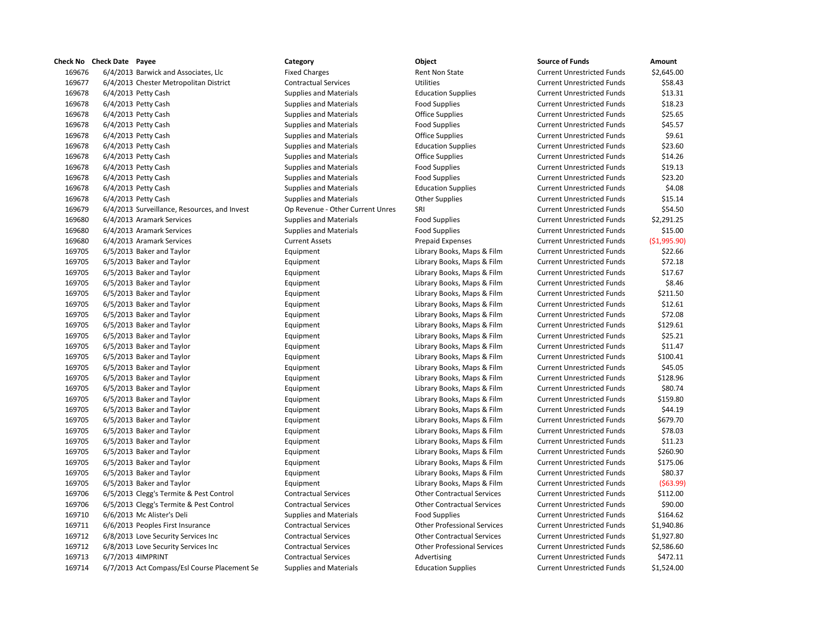| ulicum inu | CHECK DATE LAACE                             | category                         | onicrr                             | JUULLE UL LUIKIJ                  | Allivulli,   |
|------------|----------------------------------------------|----------------------------------|------------------------------------|-----------------------------------|--------------|
| 169676     | 6/4/2013 Barwick and Associates, Llc         | <b>Fixed Charges</b>             | Rent Non State                     | <b>Current Unrestricted Funds</b> | \$2,645.00   |
| 169677     | 6/4/2013 Chester Metropolitan District       | <b>Contractual Services</b>      | <b>Utilities</b>                   | <b>Current Unrestricted Funds</b> | \$58.43      |
| 169678     | 6/4/2013 Petty Cash                          | <b>Supplies and Materials</b>    | <b>Education Supplies</b>          | <b>Current Unrestricted Funds</b> | \$13.31      |
| 169678     | 6/4/2013 Petty Cash                          | <b>Supplies and Materials</b>    | <b>Food Supplies</b>               | <b>Current Unrestricted Funds</b> | \$18.23      |
| 169678     | 6/4/2013 Petty Cash                          | Supplies and Materials           | <b>Office Supplies</b>             | <b>Current Unrestricted Funds</b> | \$25.65      |
| 169678     | 6/4/2013 Petty Cash                          | <b>Supplies and Materials</b>    | <b>Food Supplies</b>               | <b>Current Unrestricted Funds</b> | \$45.57      |
| 169678     | 6/4/2013 Petty Cash                          | <b>Supplies and Materials</b>    | <b>Office Supplies</b>             | <b>Current Unrestricted Funds</b> | \$9.61       |
| 169678     | 6/4/2013 Petty Cash                          | <b>Supplies and Materials</b>    | <b>Education Supplies</b>          | <b>Current Unrestricted Funds</b> | \$23.60      |
| 169678     | 6/4/2013 Petty Cash                          | <b>Supplies and Materials</b>    | <b>Office Supplies</b>             | <b>Current Unrestricted Funds</b> | \$14.26      |
| 169678     | 6/4/2013 Petty Cash                          | <b>Supplies and Materials</b>    | <b>Food Supplies</b>               | <b>Current Unrestricted Funds</b> | \$19.13      |
| 169678     | 6/4/2013 Petty Cash                          | <b>Supplies and Materials</b>    | <b>Food Supplies</b>               | <b>Current Unrestricted Funds</b> | \$23.20      |
| 169678     | 6/4/2013 Petty Cash                          | <b>Supplies and Materials</b>    | <b>Education Supplies</b>          | <b>Current Unrestricted Funds</b> | \$4.08       |
| 169678     | 6/4/2013 Petty Cash                          | <b>Supplies and Materials</b>    | <b>Other Supplies</b>              | <b>Current Unrestricted Funds</b> | \$15.14      |
| 169679     | 6/4/2013 Surveillance, Resources, and Invest | Op Revenue - Other Current Unres | SRI                                | <b>Current Unrestricted Funds</b> | \$54.50      |
| 169680     | 6/4/2013 Aramark Services                    | <b>Supplies and Materials</b>    | <b>Food Supplies</b>               | <b>Current Unrestricted Funds</b> | \$2,291.25   |
| 169680     | 6/4/2013 Aramark Services                    | <b>Supplies and Materials</b>    | <b>Food Supplies</b>               | <b>Current Unrestricted Funds</b> | \$15.00      |
| 169680     | 6/4/2013 Aramark Services                    | <b>Current Assets</b>            | Prepaid Expenses                   | <b>Current Unrestricted Funds</b> | (\$1,995.90] |
| 169705     | 6/5/2013 Baker and Taylor                    | Equipment                        | Library Books, Maps & Film         | <b>Current Unrestricted Funds</b> | \$22.66      |
| 169705     | 6/5/2013 Baker and Taylor                    | Equipment                        | Library Books, Maps & Film         | <b>Current Unrestricted Funds</b> | \$72.18      |
| 169705     | 6/5/2013 Baker and Taylor                    | Equipment                        | Library Books, Maps & Film         | <b>Current Unrestricted Funds</b> | \$17.67      |
| 169705     | 6/5/2013 Baker and Taylor                    | Equipment                        | Library Books, Maps & Film         | <b>Current Unrestricted Funds</b> | \$8.46       |
| 169705     | 6/5/2013 Baker and Taylor                    | Equipment                        | Library Books, Maps & Film         | <b>Current Unrestricted Funds</b> | \$211.50     |
| 169705     | 6/5/2013 Baker and Taylor                    | Equipment                        | Library Books, Maps & Film         | <b>Current Unrestricted Funds</b> | \$12.61      |
| 169705     | 6/5/2013 Baker and Taylor                    | Equipment                        | Library Books, Maps & Film         | <b>Current Unrestricted Funds</b> | \$72.08      |
| 169705     | 6/5/2013 Baker and Taylor                    | Equipment                        | Library Books, Maps & Film         | <b>Current Unrestricted Funds</b> | \$129.61     |
| 169705     | 6/5/2013 Baker and Taylor                    | Equipment                        | Library Books, Maps & Film         | <b>Current Unrestricted Funds</b> | \$25.21      |
| 169705     | 6/5/2013 Baker and Taylor                    | Equipment                        | Library Books, Maps & Film         | <b>Current Unrestricted Funds</b> | \$11.47      |
| 169705     | 6/5/2013 Baker and Taylor                    | Equipment                        | Library Books, Maps & Film         | <b>Current Unrestricted Funds</b> | \$100.41     |
| 169705     | 6/5/2013 Baker and Taylor                    | Equipment                        | Library Books, Maps & Film         | <b>Current Unrestricted Funds</b> | \$45.05      |
| 169705     | 6/5/2013 Baker and Taylor                    | Equipment                        | Library Books, Maps & Film         | <b>Current Unrestricted Funds</b> | \$128.96     |
| 169705     | 6/5/2013 Baker and Taylor                    | Equipment                        | Library Books, Maps & Film         | <b>Current Unrestricted Funds</b> | \$80.74      |
| 169705     | 6/5/2013 Baker and Taylor                    | Equipment                        | Library Books, Maps & Film         | <b>Current Unrestricted Funds</b> | \$159.80     |
| 169705     | 6/5/2013 Baker and Taylor                    | Equipment                        | Library Books, Maps & Film         | <b>Current Unrestricted Funds</b> | \$44.19      |
| 169705     | 6/5/2013 Baker and Taylor                    | Equipment                        | Library Books, Maps & Film         | <b>Current Unrestricted Funds</b> | \$679.70     |
| 169705     | 6/5/2013 Baker and Taylor                    | Equipment                        | Library Books, Maps & Film         | <b>Current Unrestricted Funds</b> | \$78.03      |
| 169705     | 6/5/2013 Baker and Taylor                    | Equipment                        | Library Books, Maps & Film         | <b>Current Unrestricted Funds</b> | \$11.23      |
| 169705     | 6/5/2013 Baker and Taylor                    | Equipment                        | Library Books, Maps & Film         | <b>Current Unrestricted Funds</b> | \$260.90     |
| 169705     | 6/5/2013 Baker and Taylor                    | Equipment                        | Library Books, Maps & Film         | <b>Current Unrestricted Funds</b> | \$175.06     |
| 169705     | 6/5/2013 Baker and Taylor                    | Equipment                        | Library Books, Maps & Film         | <b>Current Unrestricted Funds</b> | \$80.37      |
| 169705     | 6/5/2013 Baker and Taylor                    | Equipment                        | Library Books, Maps & Film         | <b>Current Unrestricted Funds</b> | (563.99)     |
| 169706     | 6/5/2013 Clegg's Termite & Pest Control      | <b>Contractual Services</b>      | <b>Other Contractual Services</b>  | <b>Current Unrestricted Funds</b> | \$112.00     |
| 169706     | 6/5/2013 Clegg's Termite & Pest Control      | <b>Contractual Services</b>      | <b>Other Contractual Services</b>  | <b>Current Unrestricted Funds</b> | \$90.00      |
| 169710     | 6/6/2013 Mc Alister's Deli                   | <b>Supplies and Materials</b>    | <b>Food Supplies</b>               | <b>Current Unrestricted Funds</b> | \$164.62     |
| 169711     | 6/6/2013 Peoples First Insurance             | <b>Contractual Services</b>      | <b>Other Professional Services</b> | <b>Current Unrestricted Funds</b> | \$1,940.86   |
| 169712     | 6/8/2013 Love Security Services Inc          | <b>Contractual Services</b>      | <b>Other Contractual Services</b>  | <b>Current Unrestricted Funds</b> | \$1,927.80   |
| 169712     | 6/8/2013 Love Security Services Inc          | <b>Contractual Services</b>      | <b>Other Professional Services</b> | <b>Current Unrestricted Funds</b> | \$2,586.60   |
| 169713     | 6/7/2013 4IMPRINT                            | <b>Contractual Services</b>      | Advertising                        | <b>Current Unrestricted Funds</b> | \$472.11     |
| 169714     | 6/7/2013 Act Compass/Esl Course Placement Se | <b>Supplies and Materials</b>    | <b>Education Supplies</b>          | <b>Current Unrestricted Funds</b> | \$1,524.00   |
|            |                                              |                                  |                                    |                                   |              |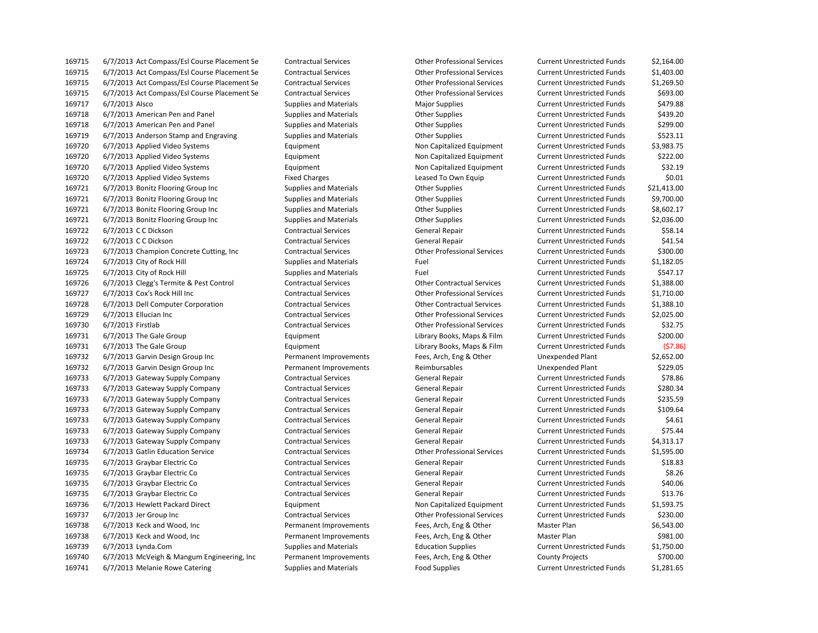6/7/2013 Act Compass/Esl Course Placement Se Contractual Services Other Professional Services Current Unrestricted Funds \$2,164.00 6/7/2013 Act Compass/Esl Course Placement Se Contractual Services Other Professional Services Current Unrestricted Funds \$1,403.00 6/7/2013 Act Compass/Esl Course Placement Se Contractual Services Other Professional Services Current Unrestricted Funds \$1,269.50 6/7/2013 Act Compass/Esl Course Placement Se Contractual Services Other Professional Services Current Unrestricted Funds \$693.00 169717 6/7/2013 Alsco Supplies and Materials Major Supplies Major Supplies Current Unrestricted Funds S479.88 6/7/2013 American Pen and Panel Supplies and Materials Other Supplies Current Unrestricted Funds \$439.20 6/7/2013 American Pen and Panel Supplies and Materials Other Supplies Current Unrestricted Funds \$299.00 6/7/2013 Anderson Stamp and Engraving Supplies and Materials Other Supplies Current Unrestricted Funds \$523.11 6/7/2013 Applied Video Systems Equipment Non Capitalized Equipment Current Unrestricted Funds \$3,983.75 6/7/2013 Applied Video Systems Equipment Non Capitalized Equipment Current Unrestricted Funds \$222.00 6/7/2013 Applied Video Systems Equipment Non Capitalized Equipment Current Unrestricted Funds \$32.19 6/7/2013 Applied Video Systems Fixed Charges Leased To Own Equip Current Unrestricted Funds \$0.01 6/7/2013 Bonitz Flooring Group Inc Supplies and Materials Other Supplies Current Unrestricted Funds \$21,413.00 6/7/2013 Bonitz Flooring Group Inc Supplies and Materials Other Supplies Current Unrestricted Funds \$9,700.00 6/7/2013 Bonitz Flooring Group Inc Supplies and Materials Other Supplies Current Unrestricted Funds \$8,602.17 6/7/2013 Bonitz Flooring Group Inc Supplies and Materials Other Supplies Current Unrestricted Funds \$2,036.00 169722 6/7/2013 C C Dickson Current Contractual Services General Repair Current Unrestricted Funds \$58.14 169722 6/7/2013 C C Dickson Contractual Services General Repair Current Unrestricted Funds 541.54 6/7/2013 Champion Concrete Cutting, Inc Contractual Services Other Professional Services Current Unrestricted Funds \$300.00 6/7/2013 City of Rock Hill Supplies and Materials Fuel Current Unrestricted Funds \$1,182.05 169725 6/7/2013 City of Rock Hill Supplies and Materials Fuel Fuel Current Unrestricted Funds \$547.17 6/7/2013 Clegg's Termite & Pest Control Contractual Services Other Contractual Services Current Unrestricted Funds \$1,388.00 6/7/2013 Cox's Rock Hill Inc Contractual Services Other Professional Services Current Unrestricted Funds \$1,710.00 6/7/2013 Dell Computer Corporation Contractual Services Other Contractual Services Current Unrestricted Funds \$1,388.10 6/7/2013 Ellucian Inc Contractual Services Other Professional Services Current Unrestricted Funds \$2,025.00 6/7/2013 Firstlab Contractual Services Other Professional Services Current Unrestricted Funds \$32.75 6/7/2013 The Gale Group Equipment Library Books, Maps & Film Current Unrestricted Funds \$200.00 6/7/2013 The Gale Group Equipment Library Books, Maps & Film Current Unrestricted Funds (\$7.86) 6/7/2013 Garvin Design Group Inc Permanent Improvements Fees, Arch, Eng & Other Unexpended Plant \$2,652.00 6/7/2013 Garvin Design Group Inc Permanent Improvements Reimbursables Unexpended Plant \$229.05 169733 6/7/2013 Gateway Supply Company Contractual Services General Repair Current Unrestricted Funds \$78.86 6/7/2013 Gateway Supply Company Contractual Services General Repair Current Unrestricted Funds \$280.34 169733 6/7/2013 Gateway Supply Company Contractual Services General Repair Current Unrestricted Funds \$235.59 6/7/2013 Gateway Supply Company Contractual Services General Repair Current Unrestricted Funds \$109.64 169733 6/7/2013 Gateway Supply Company Contractual Services General Repair Current Unrestricted Funds \$4.61 169733 6/7/2013 Gateway Supply Company Contractual Services General Repair Current Unrestricted Funds \$75.44 169733 6/7/2013 Gateway Supply Company Contractual Services General Repair Current Unrestricted Funds \$4,313.17 6/7/2013 Gatlin Education Service Contractual Services Other Professional Services Current Unrestricted Funds \$1,595.00 169735 6/7/2013 Graybar Electric Co Contractual Services General Repair Current Unrestricted Funds \$18.83 6/7/2013 Graybar Electric Co Contractual Services General Repair Current Unrestricted Funds \$8.26 169735 6/7/2013 Graybar Electric Co Contractual Services General Repair Current Unrestricted Funds \$40.06 6/7/2013 Graybar Electric Co Contractual Services General Repair Current Unrestricted Funds \$13.76 6/7/2013 Hewlett Packard Direct Equipment Non Capitalized Equipment Current Unrestricted Funds \$1,593.75 6/7/2013 Jer Group Inc Contractual Services Other Professional Services Current Unrestricted Funds \$230.00 6/7/2013 Keck and Wood, Inc Permanent Improvements Fees, Arch, Eng & Other Master Plan \$6,543.00 6/7/2013 Keck and Wood, Inc Permanent Improvements Fees, Arch, Eng & Other Master Plan \$981.00 6/7/2013 Lynda.Com Supplies and Materials Education Supplies Current Unrestricted Funds \$1,750.00 6/7/2013 McVeigh & Mangum Engineering, Inc Permanent Improvements Fees, Arch, Eng & Other County Projects \$700.00

6/7/2013 Melanie Rowe Catering Supplies and Materials Food Supplies Current Unrestricted Funds \$1,281.65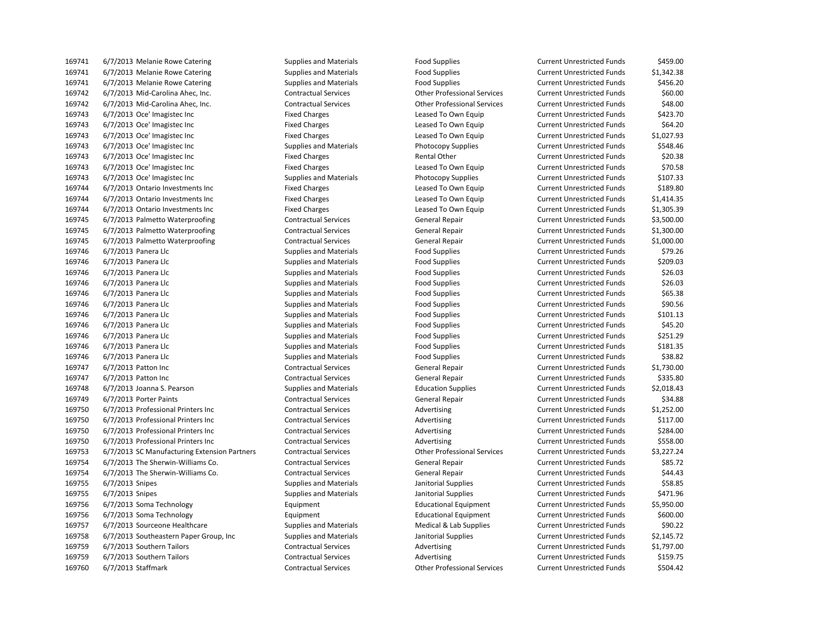| 169741 | 6/7/2013 Melanie Rowe Catering               | <b>Supplies and Materials</b> | <b>Food Supplies</b>               | <b>Current Unrestricted Funds</b> | \$459.00   |
|--------|----------------------------------------------|-------------------------------|------------------------------------|-----------------------------------|------------|
| 169741 | 6/7/2013 Melanie Rowe Catering               | <b>Supplies and Materials</b> | <b>Food Supplies</b>               | <b>Current Unrestricted Funds</b> | \$1,342.38 |
| 169741 | 6/7/2013 Melanie Rowe Catering               | Supplies and Materials        | <b>Food Supplies</b>               | <b>Current Unrestricted Funds</b> | \$456.20   |
| 169742 | 6/7/2013 Mid-Carolina Ahec, Inc.             | <b>Contractual Services</b>   | <b>Other Professional Services</b> | <b>Current Unrestricted Funds</b> | \$60.00    |
| 169742 | 6/7/2013 Mid-Carolina Ahec, Inc.             | <b>Contractual Services</b>   | <b>Other Professional Services</b> | <b>Current Unrestricted Funds</b> | \$48.00    |
| 169743 | 6/7/2013 Oce' Imagistec Inc                  | <b>Fixed Charges</b>          | Leased To Own Equip                | <b>Current Unrestricted Funds</b> | \$423.70   |
| 169743 | 6/7/2013 Oce' Imagistec Inc                  | <b>Fixed Charges</b>          | Leased To Own Equip                | <b>Current Unrestricted Funds</b> | \$64.20    |
| 169743 | 6/7/2013 Oce' Imagistec Inc                  | <b>Fixed Charges</b>          | Leased To Own Equip                | <b>Current Unrestricted Funds</b> | \$1,027.93 |
| 169743 | 6/7/2013 Oce' Imagistec Inc                  | <b>Supplies and Materials</b> | <b>Photocopy Supplies</b>          | <b>Current Unrestricted Funds</b> | \$548.46   |
| 169743 | 6/7/2013 Oce' Imagistec Inc                  | <b>Fixed Charges</b>          | Rental Other                       | <b>Current Unrestricted Funds</b> | \$20.38    |
| 169743 | 6/7/2013 Oce' Imagistec Inc                  | <b>Fixed Charges</b>          | Leased To Own Equip                | <b>Current Unrestricted Funds</b> | \$70.58    |
| 169743 | 6/7/2013 Oce' Imagistec Inc                  | <b>Supplies and Materials</b> | <b>Photocopy Supplies</b>          | <b>Current Unrestricted Funds</b> | \$107.33   |
| 169744 | 6/7/2013 Ontario Investments Inc             | <b>Fixed Charges</b>          | Leased To Own Equip                | <b>Current Unrestricted Funds</b> | \$189.80   |
| 169744 | 6/7/2013 Ontario Investments Inc             | <b>Fixed Charges</b>          | Leased To Own Equip                | <b>Current Unrestricted Funds</b> | \$1,414.35 |
| 169744 | 6/7/2013 Ontario Investments Inc             | <b>Fixed Charges</b>          | Leased To Own Equip                | <b>Current Unrestricted Funds</b> | \$1,305.39 |
| 169745 | 6/7/2013 Palmetto Waterproofing              | <b>Contractual Services</b>   | <b>General Repair</b>              | <b>Current Unrestricted Funds</b> | \$3,500.00 |
| 169745 | 6/7/2013 Palmetto Waterproofing              | <b>Contractual Services</b>   | General Repair                     | <b>Current Unrestricted Funds</b> | \$1,300.00 |
| 169745 | 6/7/2013 Palmetto Waterproofing              | <b>Contractual Services</b>   | <b>General Repair</b>              | <b>Current Unrestricted Funds</b> | \$1,000.00 |
| 169746 | 6/7/2013 Panera Llc                          | <b>Supplies and Materials</b> | <b>Food Supplies</b>               | <b>Current Unrestricted Funds</b> | \$79.26    |
| 169746 | 6/7/2013 Panera Llc                          | <b>Supplies and Materials</b> | <b>Food Supplies</b>               | <b>Current Unrestricted Funds</b> | \$209.03   |
| 169746 | 6/7/2013 Panera Llc                          | <b>Supplies and Materials</b> | <b>Food Supplies</b>               | <b>Current Unrestricted Funds</b> | \$26.03    |
| 169746 | 6/7/2013 Panera Llc                          | <b>Supplies and Materials</b> | <b>Food Supplies</b>               | <b>Current Unrestricted Funds</b> | \$26.03    |
| 169746 | 6/7/2013 Panera Llc                          | <b>Supplies and Materials</b> | <b>Food Supplies</b>               | <b>Current Unrestricted Funds</b> | \$65.38    |
| 169746 | 6/7/2013 Panera Llc                          | <b>Supplies and Materials</b> | <b>Food Supplies</b>               | <b>Current Unrestricted Funds</b> | \$90.56    |
| 169746 | 6/7/2013 Panera Llc                          | <b>Supplies and Materials</b> | <b>Food Supplies</b>               | <b>Current Unrestricted Funds</b> | \$101.13   |
| 169746 | 6/7/2013 Panera Llc                          | <b>Supplies and Materials</b> | <b>Food Supplies</b>               | <b>Current Unrestricted Funds</b> | \$45.20    |
| 169746 | 6/7/2013 Panera Llc                          | <b>Supplies and Materials</b> | <b>Food Supplies</b>               | <b>Current Unrestricted Funds</b> | \$251.29   |
| 169746 | 6/7/2013 Panera Llc                          | <b>Supplies and Materials</b> | <b>Food Supplies</b>               | <b>Current Unrestricted Funds</b> | \$181.35   |
| 169746 | 6/7/2013 Panera Llc                          | <b>Supplies and Materials</b> | <b>Food Supplies</b>               | <b>Current Unrestricted Funds</b> | \$38.82    |
| 169747 | 6/7/2013 Patton Inc                          | <b>Contractual Services</b>   | <b>General Repair</b>              | <b>Current Unrestricted Funds</b> | \$1,730.00 |
| 169747 | 6/7/2013 Patton Inc                          | <b>Contractual Services</b>   | <b>General Repair</b>              | <b>Current Unrestricted Funds</b> | \$335.80   |
| 169748 | 6/7/2013 Joanna S. Pearson                   | <b>Supplies and Materials</b> | <b>Education Supplies</b>          | <b>Current Unrestricted Funds</b> | \$2,018.43 |
| 169749 | 6/7/2013 Porter Paints                       | <b>Contractual Services</b>   | <b>General Repair</b>              | <b>Current Unrestricted Funds</b> | \$34.88    |
| 169750 | 6/7/2013 Professional Printers Inc           | <b>Contractual Services</b>   | Advertising                        | <b>Current Unrestricted Funds</b> | \$1,252.00 |
| 169750 | 6/7/2013 Professional Printers Inc           | <b>Contractual Services</b>   | Advertising                        | <b>Current Unrestricted Funds</b> | \$117.00   |
| 169750 | 6/7/2013 Professional Printers Inc           | <b>Contractual Services</b>   | Advertising                        | <b>Current Unrestricted Funds</b> | \$284.00   |
| 169750 | 6/7/2013 Professional Printers Inc           | <b>Contractual Services</b>   | Advertising                        | <b>Current Unrestricted Funds</b> | \$558.00   |
| 169753 | 6/7/2013 SC Manufacturing Extension Partners | <b>Contractual Services</b>   | <b>Other Professional Services</b> | <b>Current Unrestricted Funds</b> | \$3,227.24 |
| 169754 | 6/7/2013 The Sherwin-Williams Co.            | <b>Contractual Services</b>   | <b>General Repair</b>              | <b>Current Unrestricted Funds</b> | \$85.72    |
| 169754 | 6/7/2013 The Sherwin-Williams Co.            | <b>Contractual Services</b>   | General Repair                     | <b>Current Unrestricted Funds</b> | \$44.43    |
| 169755 | 6/7/2013 Snipes                              | <b>Supplies and Materials</b> | Janitorial Supplies                | <b>Current Unrestricted Funds</b> | \$58.85    |
| 169755 | 6/7/2013 Snipes                              | Supplies and Materials        | Janitorial Supplies                | <b>Current Unrestricted Funds</b> | \$471.96   |
| 169756 | 6/7/2013 Soma Technology                     | Equipment                     | <b>Educational Equipment</b>       | <b>Current Unrestricted Funds</b> | \$5,950.00 |
| 169756 | 6/7/2013 Soma Technology                     | Equipment                     | <b>Educational Equipment</b>       | <b>Current Unrestricted Funds</b> | \$600.00   |
| 169757 | 6/7/2013 Sourceone Healthcare                | <b>Supplies and Materials</b> | Medical & Lab Supplies             | <b>Current Unrestricted Funds</b> | \$90.22    |
| 169758 | 6/7/2013 Southeastern Paper Group, Inc.      | Supplies and Materials        | Janitorial Supplies                | <b>Current Unrestricted Funds</b> | \$2,145.72 |
| 169759 | 6/7/2013 Southern Tailors                    | <b>Contractual Services</b>   | Advertising                        | <b>Current Unrestricted Funds</b> | \$1,797.00 |
| 169759 | 6/7/2013 Southern Tailors                    | <b>Contractual Services</b>   | Advertising                        | <b>Current Unrestricted Funds</b> | \$159.75   |
| 169760 | 6/7/2013 Staffmark                           | <b>Contractual Services</b>   | <b>Other Professional Services</b> | <b>Current Unrestricted Funds</b> | \$504.42   |

| d Materials | <b>Food Supplies</b>               | <b>Current Unrestricted Funds</b> | \$459.00   |
|-------------|------------------------------------|-----------------------------------|------------|
| d Materials | <b>Food Supplies</b>               | <b>Current Unrestricted Funds</b> | \$1,342.38 |
| d Materials | <b>Food Supplies</b>               | <b>Current Unrestricted Funds</b> | \$456.20   |
| I Services  | <b>Other Professional Services</b> | <b>Current Unrestricted Funds</b> | \$60.00    |
| I Services  | <b>Other Professional Services</b> | <b>Current Unrestricted Funds</b> | \$48.00    |
| ges         | Leased To Own Equip                | <b>Current Unrestricted Funds</b> | \$423.70   |
| ges         | Leased To Own Equip                | <b>Current Unrestricted Funds</b> | \$64.20    |
| ges         | Leased To Own Equip                | <b>Current Unrestricted Funds</b> | \$1,027.93 |
| d Materials | <b>Photocopy Supplies</b>          | <b>Current Unrestricted Funds</b> | \$548.46   |
| ges         | <b>Rental Other</b>                | <b>Current Unrestricted Funds</b> | \$20.38    |
| ges         | Leased To Own Equip                | <b>Current Unrestricted Funds</b> | \$70.58    |
| d Materials | <b>Photocopy Supplies</b>          | <b>Current Unrestricted Funds</b> | \$107.33   |
| ges         | Leased To Own Equip                | <b>Current Unrestricted Funds</b> | \$189.80   |
| ges         | Leased To Own Equip                | <b>Current Unrestricted Funds</b> | \$1,414.35 |
| ges         | Leased To Own Equip                | <b>Current Unrestricted Funds</b> | \$1,305.39 |
| I Services  | <b>General Repair</b>              | <b>Current Unrestricted Funds</b> | \$3,500.00 |
| I Services  | <b>General Repair</b>              | <b>Current Unrestricted Funds</b> | \$1,300.00 |
| I Services  | General Repair                     | <b>Current Unrestricted Funds</b> | \$1,000.00 |
| d Materials | <b>Food Supplies</b>               | <b>Current Unrestricted Funds</b> | \$79.26    |
| d Materials | <b>Food Supplies</b>               | <b>Current Unrestricted Funds</b> | \$209.03   |
| d Materials | <b>Food Supplies</b>               | <b>Current Unrestricted Funds</b> | \$26.03    |
| d Materials | <b>Food Supplies</b>               | <b>Current Unrestricted Funds</b> | \$26.03    |
| d Materials | <b>Food Supplies</b>               | <b>Current Unrestricted Funds</b> | \$65.38    |
| d Materials | <b>Food Supplies</b>               | <b>Current Unrestricted Funds</b> | \$90.56    |
| d Materials | <b>Food Supplies</b>               | <b>Current Unrestricted Funds</b> | \$101.13   |
| d Materials | <b>Food Supplies</b>               | <b>Current Unrestricted Funds</b> | \$45.20    |
| d Materials | <b>Food Supplies</b>               | <b>Current Unrestricted Funds</b> | \$251.29   |
| d Materials | <b>Food Supplies</b>               | <b>Current Unrestricted Funds</b> | \$181.35   |
| d Materials | <b>Food Supplies</b>               | <b>Current Unrestricted Funds</b> | \$38.82    |
| I Services  | <b>General Repair</b>              | <b>Current Unrestricted Funds</b> | \$1,730.00 |
| I Services  | <b>General Repair</b>              | <b>Current Unrestricted Funds</b> | \$335.80   |
| d Materials | <b>Education Supplies</b>          | <b>Current Unrestricted Funds</b> | \$2,018.43 |
| I Services  | General Repair                     | <b>Current Unrestricted Funds</b> | \$34.88    |
| I Services  | Advertising                        | <b>Current Unrestricted Funds</b> | \$1,252.00 |
| I Services  | Advertising                        | <b>Current Unrestricted Funds</b> | \$117.00   |
| I Services  | Advertising                        | <b>Current Unrestricted Funds</b> | \$284.00   |
| I Services  | Advertising                        | <b>Current Unrestricted Funds</b> | \$558.00   |
| I Services  | <b>Other Professional Services</b> | <b>Current Unrestricted Funds</b> | \$3,227.24 |
| I Services  | <b>General Repair</b>              | <b>Current Unrestricted Funds</b> | \$85.72    |
| I Services  | <b>General Repair</b>              | <b>Current Unrestricted Funds</b> | \$44.43    |
| d Materials | Janitorial Supplies                | <b>Current Unrestricted Funds</b> | \$58.85    |
| d Materials | Janitorial Supplies                | <b>Current Unrestricted Funds</b> | \$471.96   |
|             | <b>Educational Equipment</b>       | <b>Current Unrestricted Funds</b> | \$5,950.00 |
|             | <b>Educational Equipment</b>       | <b>Current Unrestricted Funds</b> | \$600.00   |
| d Materials | Medical & Lab Supplies             | <b>Current Unrestricted Funds</b> | \$90.22    |
| d Materials | Janitorial Supplies                | <b>Current Unrestricted Funds</b> | \$2,145.72 |
| I Services  | Advertising                        | <b>Current Unrestricted Funds</b> | \$1,797.00 |
| I Services  | Advertising                        | <b>Current Unrestricted Funds</b> | \$159.75   |
| I Services  | <b>Other Professional Services</b> | <b>Current Unrestricted Funds</b> | \$504.42   |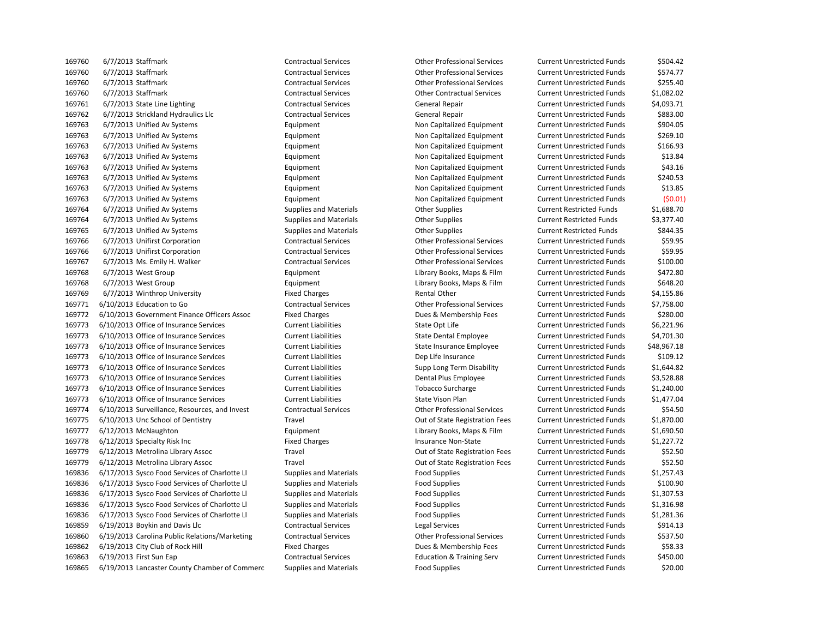6/7/2013 Staffmark Contractual Services Other Professional Services Current Unrestricted Funds \$504.42 6/7/2013 Staffmark Contractual Services Other Professional Services Current Unrestricted Funds \$574.77 6/7/2013 Staffmark Contractual Services Other Professional Services Current Unrestricted Funds \$255.40 6/7/2013 Staffmark Contractual Services Other Contractual Services Current Unrestricted Funds \$1,082.02 169761 6/7/2013 State Line Lighting Contractual Services General Repair Current Unrestricted Funds 54,093.71 6/7/2013 Strickland Hydraulics Llc Contractual Services General Repair Current Unrestricted Funds \$883.00 6/7/2013 Unified Av Systems Equipment Non Capitalized Equipment Current Unrestricted Funds \$904.05 6/7/2013 Unified Av Systems Equipment Non Capitalized Equipment Current Unrestricted Funds \$269.10 169763 6/7/2013 Unified Av Systems **Non Capitalized Equipment** Non Capitalized Equipment Current Unrestricted Funds \$166.93 6/7/2013 Unified Av Systems Equipment Non Capitalized Equipment Current Unrestricted Funds \$13.84 6/7/2013 Unified Av Systems Equipment Non Capitalized Equipment Current Unrestricted Funds \$43.16 6/7/2013 Unified Av Systems Equipment Non Capitalized Equipment Current Unrestricted Funds \$240.53 6/7/2013 Unified Av Systems Equipment Non Capitalized Equipment Current Unrestricted Funds \$13.85 6/7/2013 Unified Av Systems Equipment Non Capitalized Equipment Current Unrestricted Funds (\$0.01) 169764 6/7/2013 Unified Av Systems Supplies and Materials Current Restricted Funds Supplies Current Restricted Funds \$1,688.70 169764 6/7/2013 Unified Av Systems Supplies and Materials Current Restricted Funds \$3,377.40 169765 6/7/2013 Unified Av Systems Supplies and Materials Current Restricted Funds Seafter Supplies Current Restricted Funds Seafter Seafter Seafter Seafter Seafter Seafter Seafter Seafter Seafter Seafter Seafter Seafter S 6/7/2013 Unifirst Corporation Contractual Services Other Professional Services Current Unrestricted Funds \$59.95 6/7/2013 Unifirst Corporation Contractual Services Other Professional Services Current Unrestricted Funds \$59.95 6/7/2013 Ms. Emily H. Walker Contractual Services Other Professional Services Current Unrestricted Funds \$100.00 6/7/2013 West Group Equipment Library Books, Maps & Film Current Unrestricted Funds \$472.80 6/7/2013 West Group Equipment Library Books, Maps & Film Current Unrestricted Funds \$648.20 169769 6/7/2013 Winthrop University **Fixed Charges** Fixed Charges Rental Other Current Unrestricted Funds \$4,155.86 6/10/2013 Education to Go Contractual Services Other Professional Services Current Unrestricted Funds \$7,758.00 6/10/2013 Government Finance Officers Assoc Fixed Charges Dues & Membership Fees Current Unrestricted Funds \$280.00 6/10/2013 Office of Insurance Services Current Liabilities State Opt Life Current Unrestricted Funds \$6,221.96 169773 6/10/2013 Office of Insurance Services Current Liabilities Current Liabilities State Dental Employee Current Unrestricted Funds \$4,701.30 6/10/2013 Office of Insurance Services Current Liabilities State Insurance Employee Current Unrestricted Funds \$48,967.18 6/10/2013 Office of Insurance Services Current Liabilities Dep Life Insurance Current Unrestricted Funds \$109.12 6/10/2013 Office of Insurance Services Current Liabilities Supp Long Term Disability Current Unrestricted Funds \$1,644.82 6/10/2013 Office of Insurance Services Current Liabilities Dental Plus Employee Current Unrestricted Funds \$3,528.88 6/10/2013 Office of Insurance Services Current Liabilities Tobacco Surcharge Current Unrestricted Funds \$1,240.00 169773 6/10/2013 Office of Insurance Services Current Liabilities Current Liabilities State Vison Plan Current Unrestricted Funds \$1,477.04 6/10/2013 Surveillance, Resources, and Invest Contractual Services Other Professional Services Current Unrestricted Funds \$54.50 6/10/2013 Unc School of Dentistry Travel Out of State Registration Fees Current Unrestricted Funds \$1,870.00 6/12/2013 McNaughton Equipment Library Books, Maps & Film Current Unrestricted Funds \$1,690.50 6/12/2013 Specialty Risk Inc Fixed Charges Insurance Non-State Current Unrestricted Funds \$1,227.72 169779 6/12/2013 Metrolina Library Assoc Travel Travel Current Unrestricted Funds \$52.50 169779 6/12/2013 Metrolina Library Assoc Travel Travel Current Unrestricted Funds \$52.50 6/17/2013 Sysco Food Services of Charlotte Ll Supplies and Materials Food Supplies Current Unrestricted Funds \$1,257.43 6/17/2013 Sysco Food Services of Charlotte Ll Supplies and Materials Food Supplies Current Unrestricted Funds \$100.90 6/17/2013 Sysco Food Services of Charlotte Ll Supplies and Materials Food Supplies Current Unrestricted Funds \$1,307.53 6/17/2013 Sysco Food Services of Charlotte Ll Supplies and Materials Food Supplies Current Unrestricted Funds \$1,316.98 6/17/2013 Sysco Food Services of Charlotte Ll Supplies and Materials Food Supplies Current Unrestricted Funds \$1,281.36 6/19/2013 Boykin and Davis Llc Contractual Services Legal Services Current Unrestricted Funds \$914.13 6/19/2013 Carolina Public Relations/Marketing Contractual Services Other Professional Services Current Unrestricted Funds \$537.50 6/19/2013 City Club of Rock Hill Fixed Charges Dues & Membership Fees Current Unrestricted Funds \$58.33 6/19/2013 First Sun Eap Contractual Services Education & Training Serv Current Unrestricted Funds \$450.00 6/19/2013 Lancaster County Chamber of Commerc Supplies and Materials Food Supplies Current Unrestricted Funds \$20.00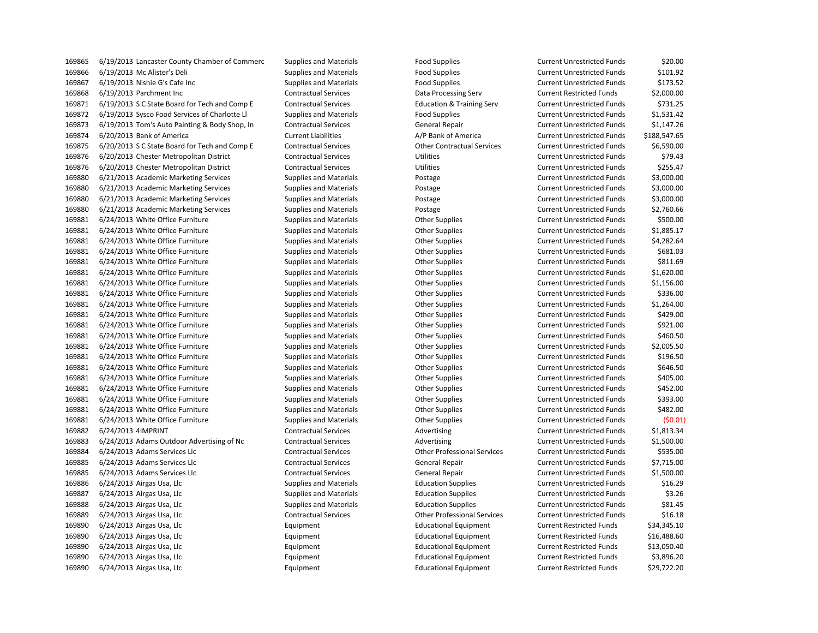| 169865 | 6/19/2013 Lancaster County Chamber of Commerc | Supplies and Materials        | Food Supplies                        | Current Unrestricted Funds        | \$20.00      |
|--------|-----------------------------------------------|-------------------------------|--------------------------------------|-----------------------------------|--------------|
| 169866 | 6/19/2013 Mc Alister's Deli                   | <b>Supplies and Materials</b> | <b>Food Supplies</b>                 | <b>Current Unrestricted Funds</b> | \$101.92     |
| 169867 | 6/19/2013 Nishie G's Cafe Inc                 | <b>Supplies and Materials</b> | <b>Food Supplies</b>                 | <b>Current Unrestricted Funds</b> | \$173.52     |
| 169868 | 6/19/2013 Parchment Inc                       | <b>Contractual Services</b>   | Data Processing Serv                 | <b>Current Restricted Funds</b>   | \$2,000.00   |
| 169871 | 6/19/2013 S C State Board for Tech and Comp E | <b>Contractual Services</b>   | <b>Education &amp; Training Serv</b> | <b>Current Unrestricted Funds</b> | \$731.25     |
| 169872 | 6/19/2013 Sysco Food Services of Charlotte Ll | <b>Supplies and Materials</b> | <b>Food Supplies</b>                 | <b>Current Unrestricted Funds</b> | \$1,531.42   |
| 169873 | 6/19/2013 Tom's Auto Painting & Body Shop, In | <b>Contractual Services</b>   | <b>General Repair</b>                | <b>Current Unrestricted Funds</b> | \$1,147.26   |
| 169874 | 6/20/2013 Bank of America                     | <b>Current Liabilities</b>    | A/P Bank of America                  | <b>Current Unrestricted Funds</b> | \$188,547.65 |
| 169875 | 6/20/2013 S C State Board for Tech and Comp E | <b>Contractual Services</b>   | <b>Other Contractual Services</b>    | <b>Current Unrestricted Funds</b> | \$6,590.00   |
| 169876 | 6/20/2013 Chester Metropolitan District       | <b>Contractual Services</b>   | Utilities                            | <b>Current Unrestricted Funds</b> | \$79.43      |
| 169876 | 6/20/2013 Chester Metropolitan District       | <b>Contractual Services</b>   | Utilities                            | <b>Current Unrestricted Funds</b> | \$255.47     |
| 169880 | 6/21/2013 Academic Marketing Services         | Supplies and Materials        | Postage                              | <b>Current Unrestricted Funds</b> | \$3,000.00   |
| 169880 | 6/21/2013 Academic Marketing Services         | <b>Supplies and Materials</b> | Postage                              | <b>Current Unrestricted Funds</b> | \$3,000.00   |
| 169880 | 6/21/2013 Academic Marketing Services         | <b>Supplies and Materials</b> | Postage                              | <b>Current Unrestricted Funds</b> | \$3,000.00   |
| 169880 | 6/21/2013 Academic Marketing Services         | <b>Supplies and Materials</b> | Postage                              | <b>Current Unrestricted Funds</b> | \$2,760.66   |
| 169881 | 6/24/2013 White Office Furniture              | <b>Supplies and Materials</b> | <b>Other Supplies</b>                | <b>Current Unrestricted Funds</b> | \$500.00     |
| 169881 | 6/24/2013 White Office Furniture              | <b>Supplies and Materials</b> | <b>Other Supplies</b>                | <b>Current Unrestricted Funds</b> | \$1,885.17   |
| 169881 | 6/24/2013 White Office Furniture              | <b>Supplies and Materials</b> | <b>Other Supplies</b>                | <b>Current Unrestricted Funds</b> | \$4,282.64   |
| 169881 | 6/24/2013 White Office Furniture              | <b>Supplies and Materials</b> | <b>Other Supplies</b>                | <b>Current Unrestricted Funds</b> | \$681.03     |
| 169881 | 6/24/2013 White Office Furniture              | <b>Supplies and Materials</b> | <b>Other Supplies</b>                | <b>Current Unrestricted Funds</b> | \$811.69     |
| 169881 | 6/24/2013 White Office Furniture              | <b>Supplies and Materials</b> | <b>Other Supplies</b>                | <b>Current Unrestricted Funds</b> | \$1,620.00   |
| 169881 | 6/24/2013 White Office Furniture              | <b>Supplies and Materials</b> | <b>Other Supplies</b>                | <b>Current Unrestricted Funds</b> | \$1,156.00   |
| 169881 | 6/24/2013 White Office Furniture              | <b>Supplies and Materials</b> | <b>Other Supplies</b>                | <b>Current Unrestricted Funds</b> | \$336.00     |
| 169881 | 6/24/2013 White Office Furniture              | <b>Supplies and Materials</b> | <b>Other Supplies</b>                | <b>Current Unrestricted Funds</b> | \$1,264.00   |
| 169881 | 6/24/2013 White Office Furniture              | <b>Supplies and Materials</b> | <b>Other Supplies</b>                | <b>Current Unrestricted Funds</b> | \$429.00     |
| 169881 | 6/24/2013 White Office Furniture              | <b>Supplies and Materials</b> | <b>Other Supplies</b>                | <b>Current Unrestricted Funds</b> | \$921.00     |
| 169881 | 6/24/2013 White Office Furniture              | Supplies and Materials        | <b>Other Supplies</b>                | <b>Current Unrestricted Funds</b> | \$460.50     |
| 169881 | 6/24/2013 White Office Furniture              | <b>Supplies and Materials</b> | <b>Other Supplies</b>                | <b>Current Unrestricted Funds</b> | \$2,005.50   |
| 169881 | 6/24/2013 White Office Furniture              | <b>Supplies and Materials</b> | <b>Other Supplies</b>                | <b>Current Unrestricted Funds</b> | \$196.50     |
| 169881 | 6/24/2013 White Office Furniture              | <b>Supplies and Materials</b> | <b>Other Supplies</b>                | <b>Current Unrestricted Funds</b> | \$646.50     |
| 169881 | 6/24/2013 White Office Furniture              | <b>Supplies and Materials</b> | <b>Other Supplies</b>                | <b>Current Unrestricted Funds</b> | \$405.00     |
| 169881 | 6/24/2013 White Office Furniture              | <b>Supplies and Materials</b> | Other Supplies                       | <b>Current Unrestricted Funds</b> | \$452.00     |
| 169881 | 6/24/2013 White Office Furniture              | <b>Supplies and Materials</b> | <b>Other Supplies</b>                | <b>Current Unrestricted Funds</b> | \$393.00     |
| 169881 | 6/24/2013 White Office Furniture              | <b>Supplies and Materials</b> | <b>Other Supplies</b>                | <b>Current Unrestricted Funds</b> | \$482.00     |
| 169881 | 6/24/2013 White Office Furniture              | <b>Supplies and Materials</b> | <b>Other Supplies</b>                | <b>Current Unrestricted Funds</b> | (50.01       |
| 169882 | 6/24/2013 4IMPRINT                            | <b>Contractual Services</b>   | Advertising                          | <b>Current Unrestricted Funds</b> | \$1,813.34   |
| 169883 | 6/24/2013 Adams Outdoor Advertising of Nc     | <b>Contractual Services</b>   | Advertising                          | <b>Current Unrestricted Funds</b> | \$1,500.00   |
| 169884 | 6/24/2013 Adams Services Llc                  | <b>Contractual Services</b>   | <b>Other Professional Services</b>   | <b>Current Unrestricted Funds</b> | \$535.00     |
| 169885 | 6/24/2013 Adams Services Llc                  | <b>Contractual Services</b>   | <b>General Repair</b>                | <b>Current Unrestricted Funds</b> | \$7,715.00   |
| 169885 | 6/24/2013 Adams Services Llc                  | <b>Contractual Services</b>   | <b>General Repair</b>                | <b>Current Unrestricted Funds</b> | \$1,500.00   |
| 169886 | 6/24/2013 Airgas Usa, Llc                     | <b>Supplies and Materials</b> | <b>Education Supplies</b>            | <b>Current Unrestricted Funds</b> | \$16.29      |
| 169887 | 6/24/2013 Airgas Usa, Llc                     | <b>Supplies and Materials</b> | <b>Education Supplies</b>            | <b>Current Unrestricted Funds</b> | \$3.26       |
| 169888 | 6/24/2013 Airgas Usa, Llc                     | Supplies and Materials        | <b>Education Supplies</b>            | <b>Current Unrestricted Funds</b> | \$81.45      |
| 169889 | 6/24/2013 Airgas Usa, Llc                     | <b>Contractual Services</b>   | <b>Other Professional Services</b>   | <b>Current Unrestricted Funds</b> | \$16.18      |
| 169890 | 6/24/2013 Airgas Usa, Llc                     | Equipment                     | <b>Educational Equipment</b>         | <b>Current Restricted Funds</b>   | \$34,345.10  |
| 169890 | 6/24/2013 Airgas Usa, Llc                     | Equipment                     | <b>Educational Equipment</b>         | <b>Current Restricted Funds</b>   | \$16,488.60  |
| 169890 | 6/24/2013 Airgas Usa, Llc                     | Equipment                     | <b>Educational Equipment</b>         | <b>Current Restricted Funds</b>   | \$13,050.40  |
| 169890 | 6/24/2013 Airgas Usa, Llc                     | Equipment                     | <b>Educational Equipment</b>         | <b>Current Restricted Funds</b>   | \$3,896.20   |
| 169890 | 6/24/2013 Airgas Usa, Llc                     | Equipment                     | <b>Educational Equipment</b>         | <b>Current Restricted Funds</b>   | \$29,722.20  |
|        |                                               |                               |                                      |                                   |              |

| d Supplies                          |
|-------------------------------------|
| d Supplies                          |
| d Supplies                          |
| a Processing Serv                   |
| <b>ucation &amp; Training Serv</b>  |
| d Supplies                          |
| neral Repair                        |
| <b>Bank of America</b>              |
| er Contractual Services             |
| lities                              |
| lities                              |
| stage                               |
| stage                               |
| stage                               |
| stage                               |
| er Supplies                         |
| er Supplies                         |
| er Supplies                         |
| er Supplies                         |
| er Supplies                         |
| er Supplies                         |
| er Supplies                         |
| er Supplies                         |
| er Supplies                         |
| er Supplies                         |
| er Supplies                         |
| er Supplies                         |
| er Supplies                         |
| er Supplies                         |
| er Supplies                         |
| er Supplies                         |
| er Supplies                         |
| er Supplies                         |
| er Supplies                         |
| er Supplies                         |
| vertising                           |
| vertising                           |
| er Professional Services            |
| neral Repair                        |
|                                     |
| neral Repair                        |
| ucation Supplies<br>cation Supplies |
|                                     |
| ucation Supplies                    |
| er Professional Services            |
| ucational Equipment                 |
| ucational Equipment                 |
| ucational Equipment                 |
| ucational Equipment                 |
| ucational Equipment                 |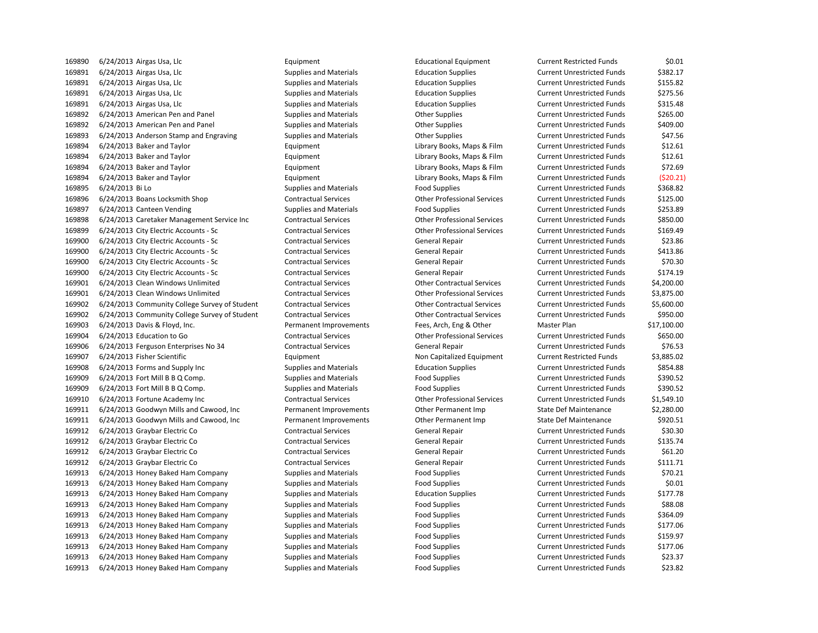6/24/2013 Airgas Usa, Llc Equipment Educational Equipment Current Restricted Funds \$0.01 6/24/2013 Airgas Usa, Llc Supplies and Materials Education Supplies Current Unrestricted Funds \$382.17 6/24/2013 Airgas Usa, Llc Supplies and Materials Education Supplies Current Unrestricted Funds \$155.82 6/24/2013 Airgas Usa, Llc Supplies and Materials Education Supplies Current Unrestricted Funds \$275.56 6/24/2013 Airgas Usa, Llc Supplies and Materials Education Supplies Current Unrestricted Funds \$315.48 6/24/2013 American Pen and Panel Supplies and Materials Other Supplies Current Unrestricted Funds \$265.00 6/24/2013 American Pen and Panel Supplies and Materials Other Supplies Current Unrestricted Funds \$409.00 169893 6/24/2013 Anderson Stamp and Engraving Supplies and Materials Other Supplies Current Unrestricted Funds \$47.56 6/24/2013 Baker and Taylor Equipment Library Books, Maps & Film Current Unrestricted Funds \$12.61 6/24/2013 Baker and Taylor Equipment Library Books, Maps & Film Current Unrestricted Funds \$12.61 6/24/2013 Baker and Taylor Equipment Library Books, Maps & Film Current Unrestricted Funds \$72.69 6/24/2013 Baker and Taylor Equipment Library Books, Maps & Film Current Unrestricted Funds (\$20.21) 169895 6/24/2013 Bi Lo Supplies and Materials Food Supplies Current Unrestricted Funds \$368.82 6/24/2013 Boans Locksmith Shop Contractual Services Other Professional Services Current Unrestricted Funds \$125.00 169897 6/24/2013 Canteen Vending Supplies and Materials Food Supplies Food Supplies Current Unrestricted Funds \$253.89 6/24/2013 Caretaker Management Service Inc Contractual Services Other Professional Services Current Unrestricted Funds \$850.00 6/24/2013 City Electric Accounts - Sc Contractual Services Other Professional Services Current Unrestricted Funds \$169.49 6/24/2013 City Electric Accounts - Sc Contractual Services General Repair Current Unrestricted Funds \$23.86 169900 6/24/2013 City Electric Accounts - Sc Contractual Services General Repair Current Unrestricted Funds \$413.86 169900 6/24/2013 City Electric Accounts - Sc Contractual Services General Repair Current Unrestricted Funds \$70.30 6/24/2013 City Electric Accounts - Sc Contractual Services General Repair Current Unrestricted Funds \$174.19 6/24/2013 Clean Windows Unlimited Contractual Services Other Contractual Services Current Unrestricted Funds \$4,200.00 6/24/2013 Clean Windows Unlimited Contractual Services Other Professional Services Current Unrestricted Funds \$3,875.00 6/24/2013 Community College Survey of Student Contractual Services Other Contractual Services Current Unrestricted Funds \$5,600.00 6/24/2013 Community College Survey of Student Contractual Services Other Contractual Services Current Unrestricted Funds \$950.00 6/24/2013 Davis & Floyd, Inc. Permanent Improvements Fees, Arch, Eng & Other Master Plan \$17,100.00 6/24/2013 Education to Go Contractual Services Other Professional Services Current Unrestricted Funds \$650.00 169906 6/24/2013 Ferguson Enterprises No 34 Contractual Services General Repair Current Unrestricted Funds \$76.53 169907 6/24/2013 Fisher Scientific **Exercise Equipment** Equipment Non Capitalized Equipment Current Restricted Funds \$3,885.02 6/24/2013 Forms and Supply Inc Supplies and Materials Education Supplies Current Unrestricted Funds \$854.88 6/24/2013 Fort Mill B B Q Comp. Supplies and Materials Food Supplies Current Unrestricted Funds \$390.52 6/24/2013 Fort Mill B B Q Comp. Supplies and Materials Food Supplies Current Unrestricted Funds \$390.52 6/24/2013 Fortune Academy Inc Contractual Services Other Professional Services Current Unrestricted Funds \$1,549.10 6/24/2013 Goodwyn Mills and Cawood, Inc Permanent Improvements Other Permanent Imp State Def Maintenance \$2,280.00 6/24/2013 Goodwyn Mills and Cawood, Inc Permanent Improvements Other Permanent Imp State Def Maintenance \$920.51 169912 6/24/2013 Graybar Electric Co Contractual Services General Repair Current Unrestricted Funds \$30.30 6/24/2013 Graybar Electric Co Contractual Services General Repair Current Unrestricted Funds \$135.74 169912 6/24/2013 Graybar Electric Co Contractual Services General Repair Current Unrestricted Funds \$61.20 6/24/2013 Graybar Electric Co Contractual Services General Repair Current Unrestricted Funds \$111.71 6/24/2013 Honey Baked Ham Company Supplies and Materials Food Supplies Current Unrestricted Funds \$70.21 6/24/2013 Honey Baked Ham Company Supplies and Materials Food Supplies Current Unrestricted Funds \$0.01 6/24/2013 Honey Baked Ham Company Supplies and Materials Education Supplies Current Unrestricted Funds \$177.78 6/24/2013 Honey Baked Ham Company Supplies and Materials Food Supplies Current Unrestricted Funds \$88.08 6/24/2013 Honey Baked Ham Company Supplies and Materials Food Supplies Current Unrestricted Funds \$364.09 6/24/2013 Honey Baked Ham Company Supplies and Materials Food Supplies Current Unrestricted Funds \$177.06 6/24/2013 Honey Baked Ham Company Supplies and Materials Food Supplies Current Unrestricted Funds \$159.97 6/24/2013 Honey Baked Ham Company Supplies and Materials Food Supplies Current Unrestricted Funds \$177.06 6/24/2013 Honey Baked Ham Company Supplies and Materials Food Supplies Current Unrestricted Funds \$23.37 6/24/2013 Honey Baked Ham Company Supplies and Materials Food Supplies Current Unrestricted Funds \$23.82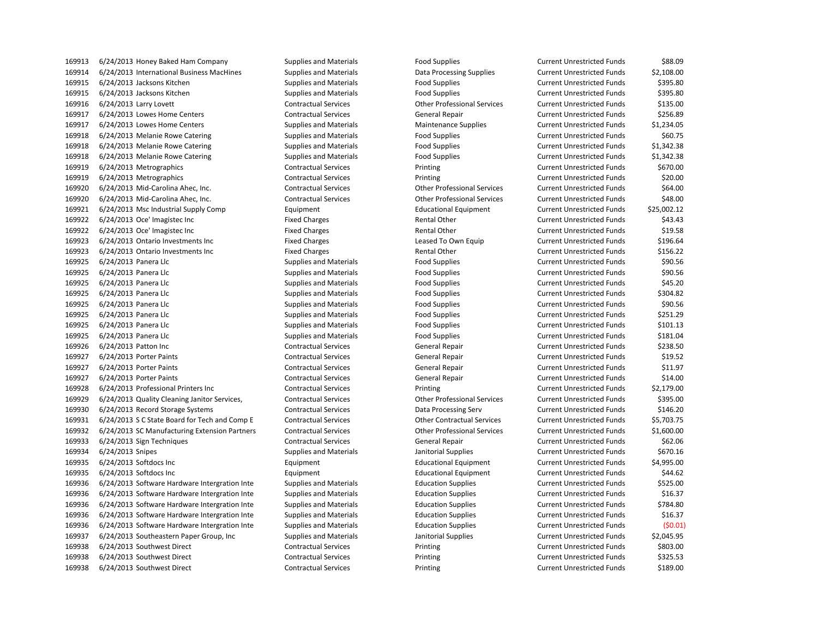6/24/2013 International Business MacHines Supplies and Materials Data Processing Supplies Current Unrestricted Funds \$2,108.00 6/24/2013 Jacksons Kitchen Supplies and Materials Food Supplies Current Unrestricted Funds \$395.80 6/24/2013 Jacksons Kitchen Supplies and Materials Food Supplies Current Unrestricted Funds \$395.80 6/24/2013 Larry Lovett Contractual Services Other Professional Services Current Unrestricted Funds \$135.00 169917 6/24/2013 Lowes Home Centers Contractual Services General Repair Current Unrestricted Funds 5256.89 169917 6/24/2013 Lowes Home Centers Supplies and Materials Maintenance Supplies Current Unrestricted Funds \$1,234.05 169918 6/24/2013 Melanie Rowe Catering Supplies and Materials Food Supplies Food Supplies Current Unrestricted Funds \$60.75 169918 6/24/2013 Melanie Rowe Catering Supplies and Materials Food Supplies Current Unrestricted Funds \$1,342.38 6/24/2013 Melanie Rowe Catering Supplies and Materials Food Supplies Current Unrestricted Funds \$1,342.38 6/24/2013 Metrographics Contractual Services Printing Current Unrestricted Funds \$670.00 6/24/2013 Metrographics Contractual Services Printing Current Unrestricted Funds \$20.00 6/24/2013 Mid-Carolina Ahec, Inc. Contractual Services Other Professional Services Current Unrestricted Funds \$64.00 6/24/2013 Mid-Carolina Ahec, Inc. Contractual Services Other Professional Services Current Unrestricted Funds \$48.00 6/24/2013 Msc Industrial Supply Comp Equipment Educational Equipment Current Unrestricted Funds \$25,002.12 6/24/2013 Oce' Imagistec Inc Fixed Charges Rental Other Current Unrestricted Funds \$43.43 169922 6/24/2013 Oce' Imagistec Inc Current Unrestricted Funds \$19.58 6/24/2013 Ontario Investments Inc Fixed Charges Leased To Own Equip Current Unrestricted Funds \$196.64 6/24/2013 Ontario Investments Inc Fixed Charges Rental Other Current Unrestricted Funds \$156.22 6/24/2013 Panera Llc Supplies and Materials Food Supplies Current Unrestricted Funds \$90.56 6/24/2013 Panera Llc Supplies and Materials Food Supplies Current Unrestricted Funds \$90.56 169925 6/24/2013 Panera Llc Supplies and Materials Food Supplies Current Unrestricted Funds \$45.20 6/24/2013 Panera Llc Supplies and Materials Food Supplies Current Unrestricted Funds \$304.82 6/24/2013 Panera Llc Supplies and Materials Food Supplies Current Unrestricted Funds \$90.56 6/24/2013 Panera Llc Supplies and Materials Food Supplies Current Unrestricted Funds \$251.29 6/24/2013 Panera Llc Supplies and Materials Food Supplies Current Unrestricted Funds \$101.13 169925 6/24/2013 Panera Llc Supplies and Materials Food Supplies Current Unrestricted Funds \$181.04 169926 6/24/2013 Patton Inc Contractual Services General Repair Current Unrestricted Funds 5238.50 169927 6/24/2013 Porter Paints **Current Contractual Services** General Repair Current Unrestricted Funds \$19.52 169927 6/24/2013 Porter Paints **Cancel Contractual Services** General Repair Current Unrestricted Funds 511.97 169927 6/24/2013 Porter Paints **Cancel Contractual Services** General Repair Current Unrestricted Funds \$14.00 6/24/2013 Professional Printers Inc Contractual Services Printing Current Unrestricted Funds \$2,179.00 6/24/2013 Quality Cleaning Janitor Services, Contractual Services Other Professional Services Current Unrestricted Funds \$395.00 6/24/2013 Record Storage Systems Contractual Services Data Processing Serv Current Unrestricted Funds \$146.20 6/24/2013 S C State Board for Tech and Comp E Contractual Services Other Contractual Services Current Unrestricted Funds \$5,703.75 6/24/2013 SC Manufacturing Extension Partners Contractual Services Other Professional Services Current Unrestricted Funds \$1,600.00 6/24/2013 Sign Techniques Contractual Services General Repair Current Unrestricted Funds \$62.06 6/24/2013 Snipes Supplies and Materials Janitorial Supplies Current Unrestricted Funds \$670.16 6/24/2013 Softdocs Inc Equipment Educational Equipment Current Unrestricted Funds \$4,995.00 6/24/2013 Softdocs Inc Equipment Educational Equipment Current Unrestricted Funds \$44.62 6/24/2013 Software Hardware Intergration Inte Supplies and Materials Education Supplies Current Unrestricted Funds \$525.00 6/24/2013 Software Hardware Intergration Inte Supplies and Materials Education Supplies Current Unrestricted Funds \$16.37 6/24/2013 Software Hardware Intergration Inte Supplies and Materials Education Supplies Current Unrestricted Funds \$784.80 6/24/2013 Software Hardware Intergration Inte Supplies and Materials Education Supplies Current Unrestricted Funds \$16.37 6/24/2013 Software Hardware Intergration Inte Supplies and Materials Education Supplies Current Unrestricted Funds (\$0.01) 6/24/2013 Southeastern Paper Group, Inc Supplies and Materials Janitorial Supplies Current Unrestricted Funds \$2,045.95 6/24/2013 Southwest Direct Contractual Services Printing Current Unrestricted Funds \$803.00 6/24/2013 Southwest Direct Contractual Services Printing Current Unrestricted Funds \$325.53 6/24/2013 Southwest Direct Contractual Services Printing Current Unrestricted Funds \$189.00

6/24/2013 Honey Baked Ham Company Supplies and Materials Food Supplies Current Unrestricted Funds \$88.09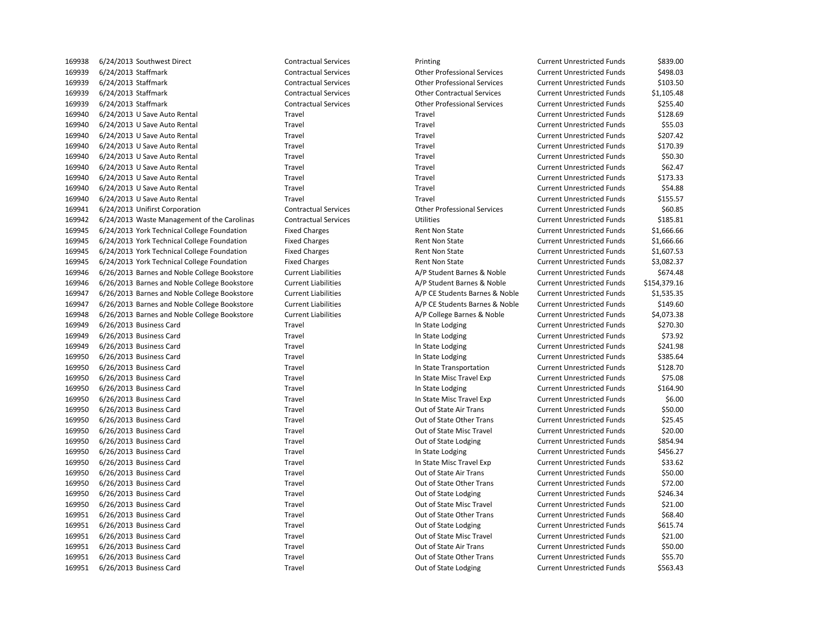| 105530 | UZ47 ZUIS SUULIIWESL DIIELL                  | CUIILI dULUdI JEI VILE:     | <b>FIIIIUIE</b>                    | CUITEIIL UIII ESLIILLEU FUIIUS    | <b>JOJJ.UL</b> |
|--------|----------------------------------------------|-----------------------------|------------------------------------|-----------------------------------|----------------|
| 169939 | 6/24/2013 Staffmark                          | <b>Contractual Services</b> | <b>Other Professional Services</b> | <b>Current Unrestricted Funds</b> | \$498.03       |
| 169939 | 6/24/2013 Staffmark                          | <b>Contractual Services</b> | <b>Other Professional Services</b> | <b>Current Unrestricted Funds</b> | \$103.50       |
| 169939 | 6/24/2013 Staffmark                          | <b>Contractual Services</b> | <b>Other Contractual Services</b>  | <b>Current Unrestricted Funds</b> | \$1,105.48     |
| 169939 | 6/24/2013 Staffmark                          | <b>Contractual Services</b> | <b>Other Professional Services</b> | <b>Current Unrestricted Funds</b> | \$255.40       |
| 169940 | 6/24/2013 U Save Auto Rental                 | Travel                      | Travel                             | <b>Current Unrestricted Funds</b> | \$128.69       |
| 169940 | 6/24/2013 U Save Auto Rental                 | Travel                      | Travel                             | <b>Current Unrestricted Funds</b> | \$55.03        |
| 169940 | 6/24/2013 U Save Auto Rental                 | Travel                      | Travel                             | <b>Current Unrestricted Funds</b> | \$207.42       |
| 169940 | 6/24/2013 U Save Auto Rental                 | Travel                      | Travel                             | <b>Current Unrestricted Funds</b> | \$170.39       |
| 169940 | 6/24/2013 U Save Auto Rental                 | Travel                      | Travel                             | <b>Current Unrestricted Funds</b> | \$50.30        |
| 169940 | 6/24/2013 U Save Auto Rental                 | Travel                      | Travel                             | <b>Current Unrestricted Funds</b> | \$62.47        |
| 169940 | 6/24/2013 U Save Auto Rental                 | Travel                      | Travel                             | <b>Current Unrestricted Funds</b> | \$173.33       |
| 169940 | 6/24/2013 U Save Auto Rental                 | Travel                      | Travel                             | <b>Current Unrestricted Funds</b> | \$54.88        |
| 169940 | 6/24/2013 U Save Auto Rental                 | Travel                      | Travel                             | <b>Current Unrestricted Funds</b> | \$155.57       |
| 169941 | 6/24/2013 Unifirst Corporation               | <b>Contractual Services</b> | <b>Other Professional Services</b> | <b>Current Unrestricted Funds</b> | \$60.85        |
| 169942 | 6/24/2013 Waste Management of the Carolinas  | <b>Contractual Services</b> | <b>Utilities</b>                   | <b>Current Unrestricted Funds</b> | \$185.81       |
| 169945 | 6/24/2013 York Technical College Foundation  | <b>Fixed Charges</b>        | Rent Non State                     | <b>Current Unrestricted Funds</b> | \$1,666.66     |
| 169945 | 6/24/2013 York Technical College Foundation  | <b>Fixed Charges</b>        | <b>Rent Non State</b>              | <b>Current Unrestricted Funds</b> | \$1,666.66     |
| 169945 | 6/24/2013 York Technical College Foundation  | <b>Fixed Charges</b>        | Rent Non State                     | <b>Current Unrestricted Funds</b> | \$1,607.53     |
| 169945 | 6/24/2013 York Technical College Foundation  | <b>Fixed Charges</b>        | <b>Rent Non State</b>              | <b>Current Unrestricted Funds</b> | \$3,082.37     |
| 169946 | 6/26/2013 Barnes and Noble College Bookstore |                             |                                    |                                   | \$674.48       |
|        |                                              | <b>Current Liabilities</b>  | A/P Student Barnes & Noble         | <b>Current Unrestricted Funds</b> |                |
| 169946 | 6/26/2013 Barnes and Noble College Bookstore | <b>Current Liabilities</b>  | A/P Student Barnes & Noble         | <b>Current Unrestricted Funds</b> | \$154,379.16   |
| 169947 | 6/26/2013 Barnes and Noble College Bookstore | <b>Current Liabilities</b>  | A/P CE Students Barnes & Noble     | <b>Current Unrestricted Funds</b> | \$1,535.35     |
| 169947 | 6/26/2013 Barnes and Noble College Bookstore | <b>Current Liabilities</b>  | A/P CE Students Barnes & Noble     | <b>Current Unrestricted Funds</b> | \$149.60       |
| 169948 | 6/26/2013 Barnes and Noble College Bookstore | <b>Current Liabilities</b>  | A/P College Barnes & Noble         | <b>Current Unrestricted Funds</b> | \$4,073.38     |
| 169949 | 6/26/2013 Business Card                      | Travel                      | In State Lodging                   | <b>Current Unrestricted Funds</b> | \$270.30       |
| 169949 | 6/26/2013 Business Card                      | Travel                      | In State Lodging                   | <b>Current Unrestricted Funds</b> | \$73.92        |
| 169949 | 6/26/2013 Business Card                      | Travel                      | In State Lodging                   | <b>Current Unrestricted Funds</b> | \$241.98       |
| 169950 | 6/26/2013 Business Card                      | Travel                      | In State Lodging                   | <b>Current Unrestricted Funds</b> | \$385.64       |
| 169950 | 6/26/2013 Business Card                      | Travel                      | In State Transportation            | <b>Current Unrestricted Funds</b> | \$128.70       |
| 169950 | 6/26/2013 Business Card                      | Travel                      | In State Misc Travel Exp           | <b>Current Unrestricted Funds</b> | \$75.08        |
| 169950 | 6/26/2013 Business Card                      | Travel                      | In State Lodging                   | <b>Current Unrestricted Funds</b> | \$164.90       |
| 169950 | 6/26/2013 Business Card                      | Travel                      | In State Misc Travel Exp           | <b>Current Unrestricted Funds</b> | \$6.00         |
| 169950 | 6/26/2013 Business Card                      | Travel                      | Out of State Air Trans             | <b>Current Unrestricted Funds</b> | \$50.00        |
| 169950 | 6/26/2013 Business Card                      | Travel                      | Out of State Other Trans           | <b>Current Unrestricted Funds</b> | \$25.45        |
| 169950 | 6/26/2013 Business Card                      | Travel                      | Out of State Misc Travel           | <b>Current Unrestricted Funds</b> | \$20.00        |
| 169950 | 6/26/2013 Business Card                      | Travel                      | Out of State Lodging               | <b>Current Unrestricted Funds</b> | \$854.94       |
| 169950 | 6/26/2013 Business Card                      | Travel                      | In State Lodging                   | <b>Current Unrestricted Funds</b> | \$456.27       |
| 169950 | 6/26/2013 Business Card                      | Travel                      | In State Misc Travel Exp           | <b>Current Unrestricted Funds</b> | \$33.62        |
| 169950 | 6/26/2013 Business Card                      | Travel                      | Out of State Air Trans             | <b>Current Unrestricted Funds</b> | \$50.00        |
| 169950 | 6/26/2013 Business Card                      | Travel                      | Out of State Other Trans           | <b>Current Unrestricted Funds</b> | \$72.00        |
| 169950 | 6/26/2013 Business Card                      | Travel                      | Out of State Lodging               | <b>Current Unrestricted Funds</b> | \$246.34       |
| 169950 | 6/26/2013 Business Card                      | Travel                      | Out of State Misc Travel           | <b>Current Unrestricted Funds</b> | \$21.00        |
| 169951 | 6/26/2013 Business Card                      | Travel                      | Out of State Other Trans           | <b>Current Unrestricted Funds</b> | \$68.40        |
| 169951 | 6/26/2013 Business Card                      | Travel                      | Out of State Lodging               | <b>Current Unrestricted Funds</b> | \$615.74       |
| 169951 | 6/26/2013 Business Card                      | Travel                      | Out of State Misc Travel           | <b>Current Unrestricted Funds</b> | \$21.00        |
| 169951 | 6/26/2013 Business Card                      | Travel                      | Out of State Air Trans             | <b>Current Unrestricted Funds</b> | \$50.00        |
| 169951 | 6/26/2013 Business Card                      | Travel                      | Out of State Other Trans           | <b>Current Unrestricted Funds</b> | \$55.70        |
| 169951 | 6/26/2013 Business Card                      | Travel                      | Out of State Lodging               | <b>Current Unrestricted Funds</b> | \$563.43       |
|        |                                              |                             |                                    |                                   |                |

| 169938 | 6/24/2013 Southwest Direct                   | <b>Contractual Services</b> | Printing                           | <b>Current Unrestricted Funds</b> | \$839.00     |
|--------|----------------------------------------------|-----------------------------|------------------------------------|-----------------------------------|--------------|
| 169939 | 6/24/2013 Staffmark                          | <b>Contractual Services</b> | <b>Other Professional Services</b> | <b>Current Unrestricted Funds</b> | \$498.03     |
| 169939 | 6/24/2013 Staffmark                          | <b>Contractual Services</b> | <b>Other Professional Services</b> | <b>Current Unrestricted Funds</b> | \$103.50     |
| 169939 | 6/24/2013 Staffmark                          | <b>Contractual Services</b> | <b>Other Contractual Services</b>  | <b>Current Unrestricted Funds</b> | \$1,105.48   |
| 169939 | 6/24/2013 Staffmark                          | <b>Contractual Services</b> | <b>Other Professional Services</b> | <b>Current Unrestricted Funds</b> | \$255.40     |
| 169940 | 6/24/2013 U Save Auto Rental                 | Travel                      | Travel                             | <b>Current Unrestricted Funds</b> | \$128.69     |
| 169940 | 6/24/2013 U Save Auto Rental                 | Travel                      | Travel                             | <b>Current Unrestricted Funds</b> | \$55.03      |
| 169940 | 6/24/2013 U Save Auto Rental                 | Travel                      | Travel                             | <b>Current Unrestricted Funds</b> | \$207.42     |
| 169940 | 6/24/2013 U Save Auto Rental                 | Travel                      | Travel                             | <b>Current Unrestricted Funds</b> | \$170.39     |
| 169940 | 6/24/2013 U Save Auto Rental                 | Travel                      | Travel                             | <b>Current Unrestricted Funds</b> | \$50.30      |
| 169940 | 6/24/2013 U Save Auto Rental                 | Travel                      | Travel                             | <b>Current Unrestricted Funds</b> | \$62.47      |
| 169940 | 6/24/2013 U Save Auto Rental                 | Travel                      | Travel                             | <b>Current Unrestricted Funds</b> | \$173.33     |
| 169940 | 6/24/2013 U Save Auto Rental                 | Travel                      | Travel                             | <b>Current Unrestricted Funds</b> | \$54.88      |
| 169940 | 6/24/2013 U Save Auto Rental                 | Travel                      | Travel                             | <b>Current Unrestricted Funds</b> | \$155.57     |
| 169941 | 6/24/2013 Unifirst Corporation               | <b>Contractual Services</b> | <b>Other Professional Services</b> | <b>Current Unrestricted Funds</b> | \$60.85      |
| 169942 | 6/24/2013 Waste Management of the Carolinas  | <b>Contractual Services</b> | Utilities                          | <b>Current Unrestricted Funds</b> | \$185.81     |
| 169945 | 6/24/2013 York Technical College Foundation  | <b>Fixed Charges</b>        | Rent Non State                     | <b>Current Unrestricted Funds</b> | \$1,666.66   |
| 169945 | 6/24/2013 York Technical College Foundation  | <b>Fixed Charges</b>        | Rent Non State                     | <b>Current Unrestricted Funds</b> | \$1,666.66   |
| 169945 | 6/24/2013 York Technical College Foundation  | <b>Fixed Charges</b>        | <b>Rent Non State</b>              | <b>Current Unrestricted Funds</b> | \$1,607.53   |
| 169945 | 6/24/2013 York Technical College Foundation  | <b>Fixed Charges</b>        | <b>Rent Non State</b>              | <b>Current Unrestricted Funds</b> | \$3,082.37   |
| 169946 | 6/26/2013 Barnes and Noble College Bookstore | <b>Current Liabilities</b>  | A/P Student Barnes & Noble         | <b>Current Unrestricted Funds</b> | \$674.48     |
| 169946 | 6/26/2013 Barnes and Noble College Bookstore | <b>Current Liabilities</b>  | A/P Student Barnes & Noble         | <b>Current Unrestricted Funds</b> | \$154,379.16 |
| 169947 | 6/26/2013 Barnes and Noble College Bookstore | <b>Current Liabilities</b>  | A/P CE Students Barnes & Noble     | <b>Current Unrestricted Funds</b> | \$1,535.35   |
| 169947 | 6/26/2013 Barnes and Noble College Bookstore | <b>Current Liabilities</b>  | A/P CE Students Barnes & Noble     | <b>Current Unrestricted Funds</b> | \$149.60     |
| 169948 | 6/26/2013 Barnes and Noble College Bookstore | <b>Current Liabilities</b>  | A/P College Barnes & Noble         | <b>Current Unrestricted Funds</b> | \$4,073.38   |
| 169949 | 6/26/2013 Business Card                      | Travel                      | In State Lodging                   | <b>Current Unrestricted Funds</b> | \$270.30     |
| 169949 | 6/26/2013 Business Card                      | Travel                      | In State Lodging                   | <b>Current Unrestricted Funds</b> | \$73.92      |
| 169949 | 6/26/2013 Business Card                      | Travel                      | In State Lodging                   | <b>Current Unrestricted Funds</b> | \$241.98     |
| 169950 | 6/26/2013 Business Card                      | Travel                      | In State Lodging                   | <b>Current Unrestricted Funds</b> | \$385.64     |
| 169950 | 6/26/2013 Business Card                      | Travel                      | In State Transportation            | <b>Current Unrestricted Funds</b> | \$128.70     |
| 169950 | 6/26/2013 Business Card                      | Travel                      | In State Misc Travel Exp           | <b>Current Unrestricted Funds</b> | \$75.08      |
| 169950 | 6/26/2013 Business Card                      | Travel                      | In State Lodging                   | <b>Current Unrestricted Funds</b> | \$164.90     |
| 169950 | 6/26/2013 Business Card                      | Travel                      | In State Misc Travel Exp           | <b>Current Unrestricted Funds</b> | \$6.00       |
| 169950 | 6/26/2013 Business Card                      | Travel                      | Out of State Air Trans             | <b>Current Unrestricted Funds</b> | \$50.00      |
| 169950 | 6/26/2013 Business Card                      | Travel                      | Out of State Other Trans           | <b>Current Unrestricted Funds</b> | \$25.45      |
| 169950 | 6/26/2013 Business Card                      | Travel                      | Out of State Misc Travel           | <b>Current Unrestricted Funds</b> | \$20.00      |
| 169950 | 6/26/2013 Business Card                      | Travel                      | Out of State Lodging               | <b>Current Unrestricted Funds</b> | \$854.94     |
| 169950 | 6/26/2013 Business Card                      | Travel                      | In State Lodging                   | <b>Current Unrestricted Funds</b> | \$456.27     |
| 169950 | 6/26/2013 Business Card                      | Travel                      | In State Misc Travel Exp           | <b>Current Unrestricted Funds</b> | \$33.62      |
| 169950 | 6/26/2013 Business Card                      | Travel                      | Out of State Air Trans             | <b>Current Unrestricted Funds</b> | \$50.00      |
| 169950 | 6/26/2013 Business Card                      | Travel                      | Out of State Other Trans           | <b>Current Unrestricted Funds</b> | \$72.00      |
| 169950 | 6/26/2013 Business Card                      | Travel                      | Out of State Lodging               | <b>Current Unrestricted Funds</b> | \$246.34     |
| 169950 | 6/26/2013 Business Card                      | Travel                      | Out of State Misc Travel           | <b>Current Unrestricted Funds</b> | \$21.00      |
| 169951 | 6/26/2013 Business Card                      | Travel                      | Out of State Other Trans           | <b>Current Unrestricted Funds</b> | \$68.40      |
| 169951 | 6/26/2013 Business Card                      | Travel                      | Out of State Lodging               | <b>Current Unrestricted Funds</b> | \$615.74     |
| 169951 | 6/26/2013 Business Card                      | Travel                      | Out of State Misc Travel           | <b>Current Unrestricted Funds</b> | \$21.00      |
| 169951 | 6/26/2013 Business Card                      | Travel                      | Out of State Air Trans             | <b>Current Unrestricted Funds</b> | \$50.00      |
| 169951 | 6/26/2013 Business Card                      | Travel                      | Out of State Other Trans           | <b>Current Unrestricted Funds</b> | \$55.70      |
| 169951 | 6/26/2013 Business Card                      | Travel                      | Out of State Lodging               | <b>Current Unrestricted Funds</b> | \$563.43     |
|        |                                              |                             |                                    |                                   |              |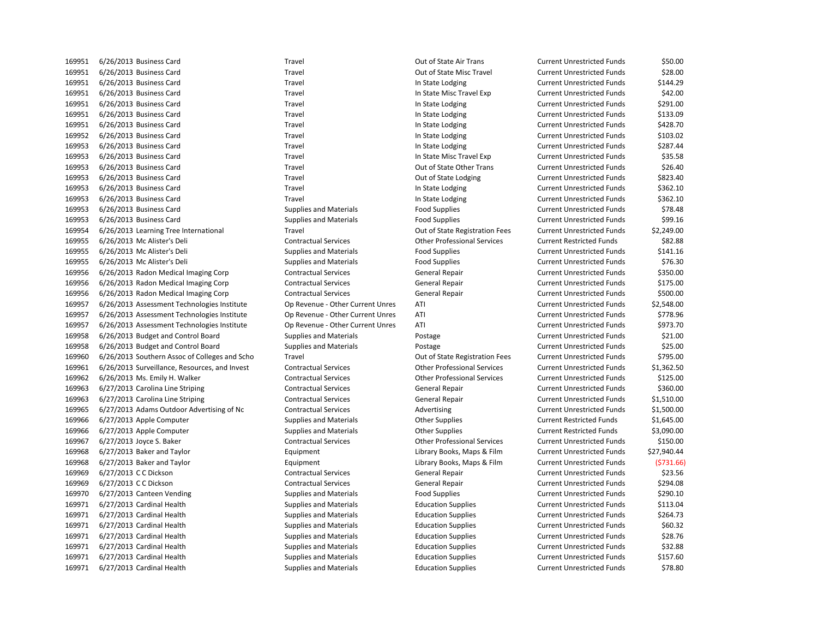| 169951 | 6/26/2013 Business Card                       | Travel                           | Out of State Air Trans             | <b>Current Unrestricted Funds</b> | \$50.00     |
|--------|-----------------------------------------------|----------------------------------|------------------------------------|-----------------------------------|-------------|
| 169951 | 6/26/2013 Business Card                       | Travel                           | Out of State Misc Travel           | <b>Current Unrestricted Funds</b> | \$28.00     |
| 169951 | 6/26/2013 Business Card                       | Travel                           | In State Lodging                   | <b>Current Unrestricted Funds</b> | \$144.29    |
| 169951 | 6/26/2013 Business Card                       | Travel                           | In State Misc Travel Exp           | <b>Current Unrestricted Funds</b> | \$42.00     |
| 169951 | 6/26/2013 Business Card                       | Travel                           | In State Lodging                   | <b>Current Unrestricted Funds</b> | \$291.00    |
| 169951 | 6/26/2013 Business Card                       | Travel                           | In State Lodging                   | <b>Current Unrestricted Funds</b> | \$133.09    |
| 169951 | 6/26/2013 Business Card                       | Travel                           | In State Lodging                   | <b>Current Unrestricted Funds</b> | \$428.70    |
| 169952 | 6/26/2013 Business Card                       | Travel                           | In State Lodging                   | <b>Current Unrestricted Funds</b> | \$103.02    |
| 169953 | 6/26/2013 Business Card                       | Travel                           | In State Lodging                   | <b>Current Unrestricted Funds</b> | \$287.44    |
| 169953 | 6/26/2013 Business Card                       | Travel                           | In State Misc Travel Exp           | <b>Current Unrestricted Funds</b> | \$35.58     |
| 169953 | 6/26/2013 Business Card                       | Travel                           | Out of State Other Trans           | <b>Current Unrestricted Funds</b> | \$26.40     |
| 169953 | 6/26/2013 Business Card                       | Travel                           | Out of State Lodging               | <b>Current Unrestricted Funds</b> | \$823.40    |
| 169953 | 6/26/2013 Business Card                       | Travel                           | In State Lodging                   | <b>Current Unrestricted Funds</b> | \$362.10    |
| 169953 | 6/26/2013 Business Card                       | Travel                           | In State Lodging                   | <b>Current Unrestricted Funds</b> | \$362.10    |
| 169953 | 6/26/2013 Business Card                       | <b>Supplies and Materials</b>    | <b>Food Supplies</b>               | <b>Current Unrestricted Funds</b> | \$78.48     |
| 169953 | 6/26/2013 Business Card                       | <b>Supplies and Materials</b>    | <b>Food Supplies</b>               | <b>Current Unrestricted Funds</b> | \$99.16     |
| 169954 | 6/26/2013 Learning Tree International         | Travel                           | Out of State Registration Fees     | <b>Current Unrestricted Funds</b> | \$2,249.00  |
| 169955 | 6/26/2013 Mc Alister's Deli                   | <b>Contractual Services</b>      | <b>Other Professional Services</b> | <b>Current Restricted Funds</b>   | \$82.88     |
| 169955 | 6/26/2013 Mc Alister's Deli                   | <b>Supplies and Materials</b>    | <b>Food Supplies</b>               | <b>Current Unrestricted Funds</b> | \$141.16    |
| 169955 | 6/26/2013 Mc Alister's Deli                   | Supplies and Materials           | <b>Food Supplies</b>               | <b>Current Unrestricted Funds</b> | \$76.30     |
| 169956 | 6/26/2013 Radon Medical Imaging Corp          | <b>Contractual Services</b>      | <b>General Repair</b>              | <b>Current Unrestricted Funds</b> | \$350.00    |
| 169956 | 6/26/2013 Radon Medical Imaging Corp          | <b>Contractual Services</b>      | <b>General Repair</b>              | <b>Current Unrestricted Funds</b> | \$175.00    |
| 169956 | 6/26/2013 Radon Medical Imaging Corp          | <b>Contractual Services</b>      | <b>General Repair</b>              | <b>Current Unrestricted Funds</b> | \$500.00    |
| 169957 | 6/26/2013 Assessment Technologies Institute   | Op Revenue - Other Current Unres | ATI                                | <b>Current Unrestricted Funds</b> | \$2,548.00  |
| 169957 | 6/26/2013 Assessment Technologies Institute   | Op Revenue - Other Current Unres | ATI                                | <b>Current Unrestricted Funds</b> | \$778.96    |
| 169957 | 6/26/2013 Assessment Technologies Institute   | Op Revenue - Other Current Unres | ATI                                | <b>Current Unrestricted Funds</b> | \$973.70    |
| 169958 | 6/26/2013 Budget and Control Board            | <b>Supplies and Materials</b>    | Postage                            | <b>Current Unrestricted Funds</b> | \$21.00     |
| 169958 | 6/26/2013 Budget and Control Board            | <b>Supplies and Materials</b>    | Postage                            | <b>Current Unrestricted Funds</b> | \$25.00     |
| 169960 | 6/26/2013 Southern Assoc of Colleges and Scho | Travel                           | Out of State Registration Fees     | <b>Current Unrestricted Funds</b> | \$795.00    |
| 169961 | 6/26/2013 Surveillance, Resources, and Invest | <b>Contractual Services</b>      | <b>Other Professional Services</b> | <b>Current Unrestricted Funds</b> | \$1,362.50  |
| 169962 | 6/26/2013 Ms. Emily H. Walker                 | <b>Contractual Services</b>      | <b>Other Professional Services</b> | <b>Current Unrestricted Funds</b> | \$125.00    |
| 169963 | 6/27/2013 Carolina Line Striping              | <b>Contractual Services</b>      | <b>General Repair</b>              | <b>Current Unrestricted Funds</b> | \$360.00    |
| 169963 | 6/27/2013 Carolina Line Striping              | <b>Contractual Services</b>      | General Repair                     | <b>Current Unrestricted Funds</b> | \$1,510.00  |
| 169965 | 6/27/2013 Adams Outdoor Advertising of Nc     | <b>Contractual Services</b>      | Advertising                        | <b>Current Unrestricted Funds</b> | \$1,500.00  |
| 169966 | 6/27/2013 Apple Computer                      | <b>Supplies and Materials</b>    | <b>Other Supplies</b>              | <b>Current Restricted Funds</b>   | \$1,645.00  |
| 169966 | 6/27/2013 Apple Computer                      | <b>Supplies and Materials</b>    | <b>Other Supplies</b>              | <b>Current Restricted Funds</b>   | \$3,090.00  |
| 169967 | 6/27/2013 Joyce S. Baker                      | <b>Contractual Services</b>      | <b>Other Professional Services</b> | <b>Current Unrestricted Funds</b> | \$150.00    |
| 169968 | 6/27/2013 Baker and Taylor                    | Equipment                        | Library Books, Maps & Film         | <b>Current Unrestricted Funds</b> | \$27,940.44 |
| 169968 | 6/27/2013 Baker and Taylor                    | Equipment                        | Library Books, Maps & Film         | <b>Current Unrestricted Funds</b> | (5731.66)   |
| 169969 | 6/27/2013 C C Dickson                         | <b>Contractual Services</b>      | <b>General Repair</b>              | <b>Current Unrestricted Funds</b> | \$23.56     |
| 169969 | 6/27/2013 C C Dickson                         | <b>Contractual Services</b>      | General Repair                     | <b>Current Unrestricted Funds</b> | \$294.08    |
| 169970 | 6/27/2013 Canteen Vending                     | <b>Supplies and Materials</b>    | <b>Food Supplies</b>               | <b>Current Unrestricted Funds</b> | \$290.10    |
| 169971 | 6/27/2013 Cardinal Health                     | <b>Supplies and Materials</b>    | <b>Education Supplies</b>          | <b>Current Unrestricted Funds</b> | \$113.04    |
| 169971 | 6/27/2013 Cardinal Health                     | <b>Supplies and Materials</b>    | <b>Education Supplies</b>          | <b>Current Unrestricted Funds</b> | \$264.73    |
| 169971 | 6/27/2013 Cardinal Health                     | <b>Supplies and Materials</b>    | <b>Education Supplies</b>          | <b>Current Unrestricted Funds</b> | \$60.32     |
| 169971 | 6/27/2013 Cardinal Health                     | <b>Supplies and Materials</b>    | <b>Education Supplies</b>          | <b>Current Unrestricted Funds</b> | \$28.76     |
| 169971 | 6/27/2013 Cardinal Health                     | Supplies and Materials           | <b>Education Supplies</b>          | <b>Current Unrestricted Funds</b> | \$32.88     |
| 169971 | 6/27/2013 Cardinal Health                     | <b>Supplies and Materials</b>    | <b>Education Supplies</b>          | <b>Current Unrestricted Funds</b> | \$157.60    |
| 169971 | 6/27/2013 Cardinal Health                     | <b>Supplies and Materials</b>    | <b>Education Supplies</b>          | <b>Current Unrestricted Funds</b> | \$78.80     |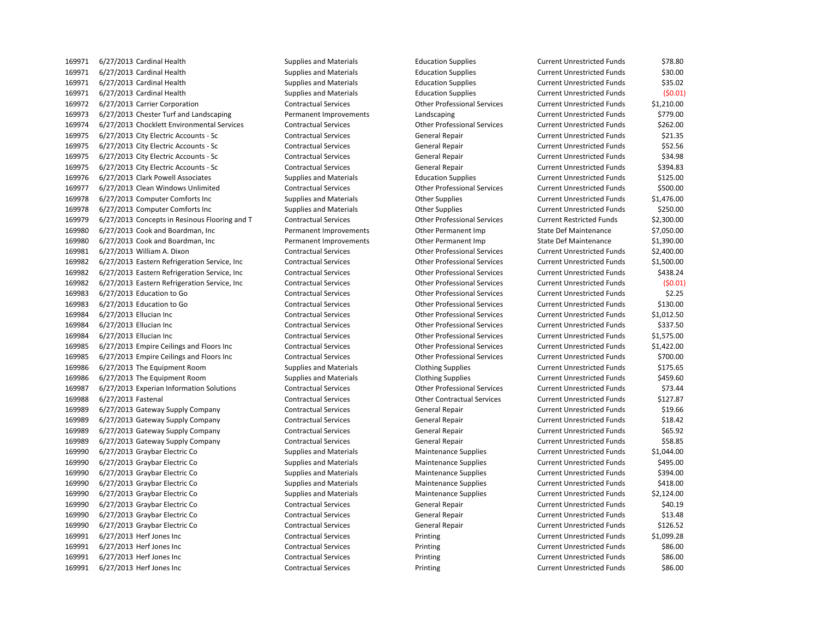6/27/2013 Cardinal Health Supplies and Materials Education Supplies Current Unrestricted Funds \$78.80 6/27/2013 Cardinal Health Supplies and Materials Education Supplies Current Unrestricted Funds \$30.00 6/27/2013 Cardinal Health Supplies and Materials Education Supplies Current Unrestricted Funds \$35.02 6/27/2013 Cardinal Health Supplies and Materials Education Supplies Current Unrestricted Funds (\$0.01) 6/27/2013 Carrier Corporation Contractual Services Other Professional Services Current Unrestricted Funds \$1,210.00 6/27/2013 Chester Turf and Landscaping Permanent Improvements Landscaping Current Unrestricted Funds \$779.00 6/27/2013 Chocklett Environmental Services Contractual Services Other Professional Services Current Unrestricted Funds \$262.00 169975 6/27/2013 City Electric Accounts - Sc Contractual Services General Repair Current Unrestricted Funds \$21.35 169975 6/27/2013 City Electric Accounts - Sc Contractual Services General Repair Current Unrestricted Funds \$52.56 169975 6/27/2013 City Electric Accounts - Sc Contractual Services General Repair Current Unrestricted Funds 534.98 169975 6/27/2013 City Electric Accounts - Sc Contractual Services General Repair Current Unrestricted Funds \$394.83 6/27/2013 Clark Powell Associates Supplies and Materials Education Supplies Current Unrestricted Funds \$125.00 6/27/2013 Clean Windows Unlimited Contractual Services Other Professional Services Current Unrestricted Funds \$500.00 169978 6/27/2013 Computer Comforts Inc Supplies and Materials Current Unrestricted Funds \$1,476.00 6/27/2013 Computer Comforts Inc Supplies and Materials Other Supplies Current Unrestricted Funds \$250.00 6/27/2013 Concepts in Resinous Flooring and T Contractual Services Other Professional Services Current Restricted Funds \$2,300.00 169980 6/27/2013 Cook and Boardman, Inc Permanent Improvements Other Permanent Imp State Def Maintenance \$7,050.00 6/27/2013 Cook and Boardman, Inc Permanent Improvements Other Permanent Imp State Def Maintenance \$1,390.00 6/27/2013 William A. Dixon Contractual Services Other Professional Services Current Unrestricted Funds \$2,400.00 6/27/2013 Eastern Refrigeration Service, Inc Contractual Services Other Professional Services Current Unrestricted Funds \$1,500.00 6/27/2013 Eastern Refrigeration Service, Inc Contractual Services Other Professional Services Current Unrestricted Funds \$438.24 6/27/2013 Eastern Refrigeration Service, Inc Contractual Services Other Professional Services Current Unrestricted Funds (\$0.01) 6/27/2013 Education to Go Contractual Services Other Professional Services Current Unrestricted Funds \$2.25 6/27/2013 Education to Go Contractual Services Other Professional Services Current Unrestricted Funds \$130.00 6/27/2013 Ellucian Inc Contractual Services Other Professional Services Current Unrestricted Funds \$1,012.50 6/27/2013 Ellucian Inc Contractual Services Other Professional Services Current Unrestricted Funds \$337.50 6/27/2013 Ellucian Inc Contractual Services Other Professional Services Current Unrestricted Funds \$1,575.00 6/27/2013 Empire Ceilings and Floors Inc Contractual Services Other Professional Services Current Unrestricted Funds \$1,422.00 6/27/2013 Empire Ceilings and Floors Inc Contractual Services Other Professional Services Current Unrestricted Funds \$700.00 6/27/2013 The Equipment Room Supplies and Materials Clothing Supplies Current Unrestricted Funds \$175.65 6/27/2013 The Equipment Room Supplies and Materials Clothing Supplies Current Unrestricted Funds \$459.60 6/27/2013 Experian Information Solutions Contractual Services Other Professional Services Current Unrestricted Funds \$73.44 6/27/2013 Fastenal Contractual Services Other Contractual Services Current Unrestricted Funds \$127.87 169989 6/27/2013 Gateway Supply Company Contractual Services General Repair Current Unrestricted Funds \$19.66 6/27/2013 Gateway Supply Company Contractual Services General Repair Current Unrestricted Funds \$18.42 169989 6/27/2013 Gateway Supply Company Contractual Services General Repair General Repair Current Unrestricted Funds \$65.92 169989 6/27/2013 Gateway Supply Company Contractual Services General Repair Current Unrestricted Funds \$58.85 169990 6/27/2013 Graybar Electric Co Supplies and Materials Maintenance Supplies Current Unrestricted Funds \$1,044.00 169990 6/27/2013 Graybar Electric Co Supplies and Materials Maintenance Supplies Current Unrestricted Funds \$495.00 169990 6/27/2013 Graybar Electric Co Supplies and Materials Maintenance Supplies Current Unrestricted Funds \$394.00 169990 6/27/2013 Graybar Electric Co Supplies and Materials Maintenance Supplies Current Unrestricted Funds \$418.00 169990 6/27/2013 Graybar Electric Co Supplies and Materials Maintenance Supplies Current Unrestricted Funds \$2,124.00 6/27/2013 Graybar Electric Co Contractual Services General Repair Current Unrestricted Funds \$40.19 6/27/2013 Graybar Electric Co Contractual Services General Repair Current Unrestricted Funds \$13.48 6/27/2013 Graybar Electric Co Contractual Services General Repair Current Unrestricted Funds \$126.52 6/27/2013 Herf Jones Inc Contractual Services Printing Current Unrestricted Funds \$1,099.28 6/27/2013 Herf Jones Inc Contractual Services Printing Current Unrestricted Funds \$86.00 6/27/2013 Herf Jones Inc Contractual Services Printing Current Unrestricted Funds \$86.00 6/27/2013 Herf Jones Inc Contractual Services Printing Current Unrestricted Funds \$86.00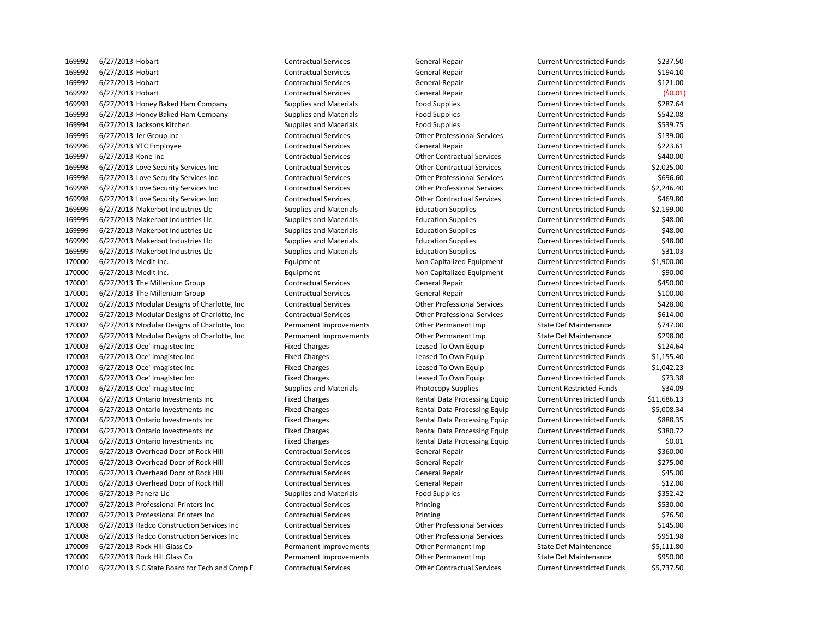6/27/2013 Hobart Contractual Services General Repair Current Unrestricted Funds \$237.50 6/27/2013 Hobart Contractual Services General Repair Current Unrestricted Funds \$194.10 6/27/2013 Hobart Contractual Services General Repair Current Unrestricted Funds \$121.00 6/27/2013 Hobart Contractual Services General Repair Current Unrestricted Funds (\$0.01) 6/27/2013 Honey Baked Ham Company Supplies and Materials Food Supplies Current Unrestricted Funds \$287.64 6/27/2013 Honey Baked Ham Company Supplies and Materials Food Supplies Current Unrestricted Funds \$542.08 6/27/2013 Jacksons Kitchen Supplies and Materials Food Supplies Current Unrestricted Funds \$539.75 6/27/2013 Jer Group Inc Contractual Services Other Professional Services Current Unrestricted Funds \$139.00 6/27/2013 YTC Employee Contractual Services General Repair Current Unrestricted Funds \$223.61 6/27/2013 Kone Inc Contractual Services Other Contractual Services Current Unrestricted Funds \$440.00 6/27/2013 Love Security Services Inc Contractual Services Other Contractual Services Current Unrestricted Funds \$2,025.00 6/27/2013 Love Security Services Inc Contractual Services Other Professional Services Current Unrestricted Funds \$696.60 6/27/2013 Love Security Services Inc Contractual Services Other Professional Services Current Unrestricted Funds \$2,246.40 6/27/2013 Love Security Services Inc Contractual Services Other Contractual Services Current Unrestricted Funds \$469.80 6/27/2013 Makerbot Industries Llc Supplies and Materials Education Supplies Current Unrestricted Funds \$2,199.00 6/27/2013 Makerbot Industries Llc Supplies and Materials Education Supplies Current Unrestricted Funds \$48.00 6/27/2013 Makerbot Industries Llc Supplies and Materials Education Supplies Current Unrestricted Funds \$48.00 6/27/2013 Makerbot Industries Llc Supplies and Materials Education Supplies Current Unrestricted Funds \$48.00 6/27/2013 Makerbot Industries Llc Supplies and Materials Education Supplies Current Unrestricted Funds \$31.03 6/27/2013 Medit Inc. Equipment Non Capitalized Equipment Current Unrestricted Funds \$1,900.00 170000 6/27/2013 Medit Inc. Subsection of the Current Lurent Lurent Lurent Unrestricted Funds that the sequipment Current Unrestricted Funds \$90.00 170001 6/27/2013 The Millenium Group Contractual Services General Repair Current Unrestricted Funds \$450.00 6/27/2013 The Millenium Group Contractual Services General Repair Current Unrestricted Funds \$100.00 6/27/2013 Modular Designs of Charlotte, Inc Contractual Services Other Professional Services Current Unrestricted Funds \$428.00 6/27/2013 Modular Designs of Charlotte, Inc Contractual Services Other Professional Services Current Unrestricted Funds \$614.00 6/27/2013 Modular Designs of Charlotte, Inc Permanent Improvements Other Permanent Imp State Def Maintenance \$747.00 6/27/2013 Modular Designs of Charlotte, Inc Permanent Improvements Other Permanent Imp State Def Maintenance \$298.00 170003 6/27/2013 Oce' Imagistec Inc Current Unrestricted Funds States Leased To Own Equip Current Unrestricted Funds \$124.64 170003 6/27/2013 Oce' Imagistec Inc Current Unrestricted Funds S1,155.40 6/27/2013 Oce' Imagistec Inc Fixed Charges Leased To Own Equip Current Unrestricted Funds \$1,042.23 6/27/2013 Oce' Imagistec Inc Fixed Charges Leased To Own Equip Current Unrestricted Funds \$73.38 170003 6/27/2013 Oce' Imagistec Inc Supplies and Materials Photocopy Supplies Current Restricted Funds \$34.09 6/27/2013 Ontario Investments Inc Fixed Charges Rental Data Processing Equip Current Unrestricted Funds \$11,686.13 6/27/2013 Ontario Investments Inc Fixed Charges Rental Data Processing Equip Current Unrestricted Funds \$5,008.34 6/27/2013 Ontario Investments Inc Fixed Charges Rental Data Processing Equip Current Unrestricted Funds \$888.35 6/27/2013 Ontario Investments Inc Fixed Charges Rental Data Processing Equip Current Unrestricted Funds \$380.72 170004 6/27/2013 Ontario Investments Inc Fixed Charges Fixed Charges Rental Data Processing Equip Current Unrestricted Funds \$0.01 6/27/2013 Overhead Door of Rock Hill Contractual Services General Repair Current Unrestricted Funds \$360.00 170005 6/27/2013 Overhead Door of Rock Hill Contractual Services General Repair Current Unrestricted Funds \$275.00 170005 6/27/2013 Overhead Door of Rock Hill Contractual Services General Repair Current Unrestricted Funds \$45.00 170005 6/27/2013 Overhead Door of Rock Hill Contractual Services General Repair Current Unrestricted Funds \$12.00 170006 6/27/2013 Panera Llc Supplies and Materials Food Supplies Current Unrestricted Funds \$352.42 6/27/2013 Professional Printers Inc Contractual Services Printing Current Unrestricted Funds \$530.00 6/27/2013 Professional Printers Inc Contractual Services Printing Current Unrestricted Funds \$76.50 6/27/2013 Radco Construction Services Inc Contractual Services Other Professional Services Current Unrestricted Funds \$145.00 6/27/2013 Radco Construction Services Inc Contractual Services Other Professional Services Current Unrestricted Funds \$951.98 170009 6/27/2013 Rock Hill Glass Co **Permanent Improvements** Other Permanent Imp State Def Maintenance \$5,111.80 170009 6/27/2013 Rock Hill Glass Co **Permanent Improvements** Other Permanent Imp State Def Maintenance \$950.00 6/27/2013 S C State Board for Tech and Comp E Contractual Services Other Contractual Services Current Unrestricted Funds \$5,737.50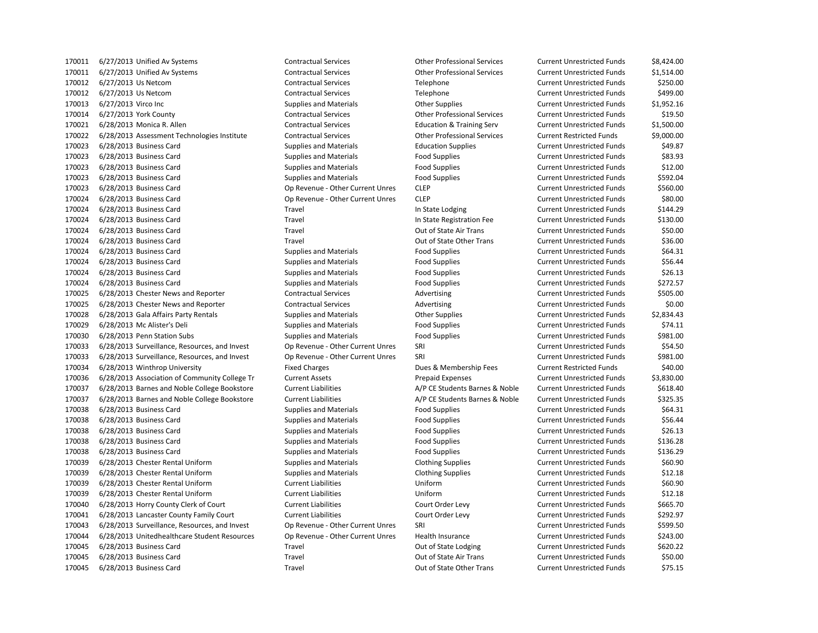| 1/0011 | 6/27/2013 Unified AV Systems                  | Contractual Services             | Other Professional Services          | Current Unrestricted Funds        | \$8,424.00 |
|--------|-----------------------------------------------|----------------------------------|--------------------------------------|-----------------------------------|------------|
| 170011 | 6/27/2013 Unified Av Systems                  | <b>Contractual Services</b>      | <b>Other Professional Services</b>   | <b>Current Unrestricted Funds</b> | \$1,514.00 |
| 170012 | 6/27/2013 Us Netcom                           | <b>Contractual Services</b>      | Telephone                            | <b>Current Unrestricted Funds</b> | \$250.00   |
| 170012 | 6/27/2013 Us Netcom                           | <b>Contractual Services</b>      | Telephone                            | <b>Current Unrestricted Funds</b> | \$499.00   |
| 170013 | 6/27/2013 Virco Inc                           | <b>Supplies and Materials</b>    | <b>Other Supplies</b>                | <b>Current Unrestricted Funds</b> | \$1,952.16 |
| 170014 | 6/27/2013 York County                         | <b>Contractual Services</b>      | <b>Other Professional Services</b>   | <b>Current Unrestricted Funds</b> | \$19.50    |
| 170021 | 6/28/2013 Monica R. Allen                     | <b>Contractual Services</b>      | <b>Education &amp; Training Serv</b> | <b>Current Unrestricted Funds</b> | \$1,500.00 |
| 170022 | 6/28/2013 Assessment Technologies Institute   | <b>Contractual Services</b>      | <b>Other Professional Services</b>   | <b>Current Restricted Funds</b>   | \$9,000.00 |
| 170023 | 6/28/2013 Business Card                       | <b>Supplies and Materials</b>    | <b>Education Supplies</b>            | <b>Current Unrestricted Funds</b> | \$49.87    |
| 170023 | 6/28/2013 Business Card                       | <b>Supplies and Materials</b>    | <b>Food Supplies</b>                 | <b>Current Unrestricted Funds</b> | \$83.93    |
| 170023 | 6/28/2013 Business Card                       | <b>Supplies and Materials</b>    | <b>Food Supplies</b>                 | <b>Current Unrestricted Funds</b> | \$12.00    |
| 170023 | 6/28/2013 Business Card                       | <b>Supplies and Materials</b>    | <b>Food Supplies</b>                 | <b>Current Unrestricted Funds</b> | \$592.04   |
| 170023 | 6/28/2013 Business Card                       | Op Revenue - Other Current Unres | <b>CLEP</b>                          | <b>Current Unrestricted Funds</b> | \$560.00   |
| 170024 | 6/28/2013 Business Card                       | Op Revenue - Other Current Unres | <b>CLEP</b>                          | <b>Current Unrestricted Funds</b> | \$80.00    |
| 170024 | 6/28/2013 Business Card                       | Travel                           | In State Lodging                     | <b>Current Unrestricted Funds</b> | \$144.29   |
| 170024 | 6/28/2013 Business Card                       | Travel                           | In State Registration Fee            | <b>Current Unrestricted Funds</b> | \$130.00   |
| 170024 | 6/28/2013 Business Card                       | Travel                           | Out of State Air Trans               | <b>Current Unrestricted Funds</b> | \$50.00    |
| 170024 | 6/28/2013 Business Card                       | Travel                           | Out of State Other Trans             | <b>Current Unrestricted Funds</b> | \$36.00    |
| 170024 | 6/28/2013 Business Card                       | <b>Supplies and Materials</b>    | <b>Food Supplies</b>                 | <b>Current Unrestricted Funds</b> | \$64.31    |
| 170024 | 6/28/2013 Business Card                       | <b>Supplies and Materials</b>    | <b>Food Supplies</b>                 | <b>Current Unrestricted Funds</b> | \$56.44    |
| 170024 | 6/28/2013 Business Card                       | <b>Supplies and Materials</b>    | <b>Food Supplies</b>                 | <b>Current Unrestricted Funds</b> | \$26.13    |
| 170024 | 6/28/2013 Business Card                       | <b>Supplies and Materials</b>    | <b>Food Supplies</b>                 | <b>Current Unrestricted Funds</b> | \$272.57   |
| 170025 | 6/28/2013 Chester News and Reporter           | <b>Contractual Services</b>      | Advertising                          | <b>Current Unrestricted Funds</b> | \$505.00   |
| 170025 | 6/28/2013 Chester News and Reporter           | <b>Contractual Services</b>      | Advertising                          | <b>Current Unrestricted Funds</b> | \$0.00     |
| 170028 | 6/28/2013 Gala Affairs Party Rentals          | <b>Supplies and Materials</b>    | <b>Other Supplies</b>                | <b>Current Unrestricted Funds</b> | \$2,834.43 |
| 170029 | 6/28/2013 Mc Alister's Deli                   | <b>Supplies and Materials</b>    | <b>Food Supplies</b>                 | <b>Current Unrestricted Funds</b> | \$74.11    |
| 170030 | 6/28/2013 Penn Station Subs                   | <b>Supplies and Materials</b>    | <b>Food Supplies</b>                 | <b>Current Unrestricted Funds</b> | \$981.00   |
| 170033 | 6/28/2013 Surveillance, Resources, and Invest | Op Revenue - Other Current Unres | SRI                                  | <b>Current Unrestricted Funds</b> | \$54.50    |
| 170033 | 6/28/2013 Surveillance, Resources, and Invest | Op Revenue - Other Current Unres | SRI                                  | <b>Current Unrestricted Funds</b> | \$981.00   |
| 170034 | 6/28/2013 Winthrop University                 | <b>Fixed Charges</b>             | Dues & Membership Fees               | <b>Current Restricted Funds</b>   | \$40.00    |
| 170036 | 6/28/2013 Association of Community College Tr | <b>Current Assets</b>            | <b>Prepaid Expenses</b>              | <b>Current Unrestricted Funds</b> | \$3,830.00 |
| 170037 | 6/28/2013 Barnes and Noble College Bookstore  | <b>Current Liabilities</b>       | A/P CE Students Barnes & Noble       | <b>Current Unrestricted Funds</b> | \$618.40   |
| 170037 | 6/28/2013 Barnes and Noble College Bookstore  | <b>Current Liabilities</b>       | A/P CE Students Barnes & Noble       | <b>Current Unrestricted Funds</b> | \$325.35   |
| 170038 | 6/28/2013 Business Card                       | <b>Supplies and Materials</b>    | <b>Food Supplies</b>                 | <b>Current Unrestricted Funds</b> | \$64.31    |
| 170038 | 6/28/2013 Business Card                       | <b>Supplies and Materials</b>    | <b>Food Supplies</b>                 | <b>Current Unrestricted Funds</b> | \$56.44    |
| 170038 | 6/28/2013 Business Card                       | <b>Supplies and Materials</b>    | <b>Food Supplies</b>                 | <b>Current Unrestricted Funds</b> | \$26.13    |
| 170038 | 6/28/2013 Business Card                       | <b>Supplies and Materials</b>    | <b>Food Supplies</b>                 | <b>Current Unrestricted Funds</b> | \$136.28   |
| 170038 | 6/28/2013 Business Card                       | <b>Supplies and Materials</b>    | <b>Food Supplies</b>                 | <b>Current Unrestricted Funds</b> | \$136.29   |
| 170039 | 6/28/2013 Chester Rental Uniform              | <b>Supplies and Materials</b>    | <b>Clothing Supplies</b>             | <b>Current Unrestricted Funds</b> | \$60.90    |
| 170039 | 6/28/2013 Chester Rental Uniform              | <b>Supplies and Materials</b>    | <b>Clothing Supplies</b>             | <b>Current Unrestricted Funds</b> | \$12.18    |
| 170039 | 6/28/2013 Chester Rental Uniform              | <b>Current Liabilities</b>       | Uniform                              | <b>Current Unrestricted Funds</b> | \$60.90    |
| 170039 | 6/28/2013 Chester Rental Uniform              | <b>Current Liabilities</b>       | Uniform                              | <b>Current Unrestricted Funds</b> | \$12.18    |
| 170040 | 6/28/2013 Horry County Clerk of Court         | <b>Current Liabilities</b>       | Court Order Levy                     | <b>Current Unrestricted Funds</b> | \$665.70   |
| 170041 | 6/28/2013 Lancaster County Family Court       | <b>Current Liabilities</b>       | Court Order Levy                     | <b>Current Unrestricted Funds</b> | \$292.97   |
| 170043 | 6/28/2013 Surveillance, Resources, and Invest | Op Revenue - Other Current Unres | SRI                                  | <b>Current Unrestricted Funds</b> | \$599.50   |
| 170044 | 6/28/2013 Unitedhealthcare Student Resources  | Op Revenue - Other Current Unres | Health Insurance                     | <b>Current Unrestricted Funds</b> | \$243.00   |
| 170045 | 6/28/2013 Business Card                       | Travel                           | Out of State Lodging                 | <b>Current Unrestricted Funds</b> | \$620.22   |
| 170045 | 6/28/2013 Business Card                       | Travel                           | Out of State Air Trans               | <b>Current Unrestricted Funds</b> | \$50.00    |
| 170045 | 6/28/2013 Business Card                       | Travel                           | Out of State Other Trans             | <b>Current Unrestricted Funds</b> | \$75.15    |

| ther Professional Services    | Curi |
|-------------------------------|------|
| ther Professional Services    | Curi |
| elephone                      | Curi |
| elephone                      | Curi |
| ther Supplies                 | Curi |
| ther Professional Services    | Curi |
| ducation & Training Serv      | Curi |
| ther Professional Services    | Curi |
| ducation Supplies             | Curi |
| ood Supplies                  | Curi |
| ood Supplies                  | Curi |
| ood Supplies                  | Curi |
| LEP                           | Curi |
| LEP                           | Curi |
| State Lodging                 | Curi |
| <b>State Registration Fee</b> | Curi |
| ut of State Air Trans         | Curi |
| ut of State Other Trans       | Curi |
| ood Supplies                  | Curi |
| ood Supplies                  | Curi |
| ood Supplies                  | Curi |
| ood Supplies                  | Curi |
| dvertising                    | Curi |
| dvertising                    | Curi |
| ther Supplies                 | Curi |
| ood Supplies                  | Curi |
| ood Supplies                  | Curi |
| र।                            | Curi |
| ٦I                            | Curi |
| ues & Membership Fees         | Curi |
| repaid Expenses               | Curi |
| P CE Students Barnes & Noble  | Curi |
| P CE Students Barnes & Noble  | Curi |
| ood Supplies                  | Curi |
| ood Supplies                  | Curi |
| ood Supplies                  | Curi |
| ood Supplies                  | Curi |
| ood Supplies                  | Curi |
| othing Supplies               | Curi |
| othing Supplies               | Curi |
| niform                        | Curi |
| niform                        | Curi |
| ourt Order Levy               | Curi |
| ourt Order Levy               | Curi |
| ٢I                            | Curi |
| ealth Insurance               | Curi |
| ut of State Lodging           | Curi |
| ut of State Air Trans         | Curi |
| ut of State Other Trans       | Curi |

| 170011 | 6/27/2013 Unified Av Systems                  | <b>Contractual Services</b>      | <b>Other Professional Services</b>   | <b>Current Unrestricted Funds</b> | \$8,424.00 |
|--------|-----------------------------------------------|----------------------------------|--------------------------------------|-----------------------------------|------------|
| 170011 | 6/27/2013 Unified Av Systems                  | <b>Contractual Services</b>      | <b>Other Professional Services</b>   | <b>Current Unrestricted Funds</b> | \$1,514.00 |
| 170012 | 6/27/2013 Us Netcom                           | <b>Contractual Services</b>      | Telephone                            | <b>Current Unrestricted Funds</b> | \$250.00   |
| 170012 | 6/27/2013 Us Netcom                           | <b>Contractual Services</b>      | Telephone                            | <b>Current Unrestricted Funds</b> | \$499.00   |
| 170013 | 6/27/2013 Virco Inc                           | <b>Supplies and Materials</b>    | <b>Other Supplies</b>                | <b>Current Unrestricted Funds</b> | \$1,952.16 |
| 170014 | 6/27/2013 York County                         | <b>Contractual Services</b>      | <b>Other Professional Services</b>   | <b>Current Unrestricted Funds</b> | \$19.50    |
| 170021 | 6/28/2013 Monica R. Allen                     | <b>Contractual Services</b>      | <b>Education &amp; Training Serv</b> | <b>Current Unrestricted Funds</b> | \$1,500.00 |
| 170022 | 6/28/2013 Assessment Technologies Institute   | <b>Contractual Services</b>      | <b>Other Professional Services</b>   | <b>Current Restricted Funds</b>   | \$9,000.00 |
| 170023 | 6/28/2013 Business Card                       | <b>Supplies and Materials</b>    | <b>Education Supplies</b>            | <b>Current Unrestricted Funds</b> | \$49.87    |
| 170023 | 6/28/2013 Business Card                       | <b>Supplies and Materials</b>    | <b>Food Supplies</b>                 | <b>Current Unrestricted Funds</b> | \$83.93    |
| 170023 | 6/28/2013 Business Card                       | <b>Supplies and Materials</b>    | <b>Food Supplies</b>                 | <b>Current Unrestricted Funds</b> | \$12.00    |
| 170023 | 6/28/2013 Business Card                       | <b>Supplies and Materials</b>    | <b>Food Supplies</b>                 | <b>Current Unrestricted Funds</b> | \$592.04   |
| 170023 | 6/28/2013 Business Card                       | Op Revenue - Other Current Unres | <b>CLEP</b>                          | <b>Current Unrestricted Funds</b> | \$560.00   |
| 170024 | 6/28/2013 Business Card                       | Op Revenue - Other Current Unres | <b>CLEP</b>                          | <b>Current Unrestricted Funds</b> | \$80.00    |
| 170024 | 6/28/2013 Business Card                       | Travel                           | In State Lodging                     | <b>Current Unrestricted Funds</b> | \$144.29   |
| 170024 | 6/28/2013 Business Card                       | Travel                           | In State Registration Fee            | <b>Current Unrestricted Funds</b> | \$130.00   |
| 170024 | 6/28/2013 Business Card                       | Travel                           | Out of State Air Trans               | <b>Current Unrestricted Funds</b> | \$50.00    |
| 170024 | 6/28/2013 Business Card                       | Travel                           | Out of State Other Trans             | <b>Current Unrestricted Funds</b> | \$36.00    |
| 170024 | 6/28/2013 Business Card                       | <b>Supplies and Materials</b>    | <b>Food Supplies</b>                 | <b>Current Unrestricted Funds</b> | \$64.31    |
| 170024 | 6/28/2013 Business Card                       | <b>Supplies and Materials</b>    | <b>Food Supplies</b>                 | <b>Current Unrestricted Funds</b> | \$56.44    |
| 170024 | 6/28/2013 Business Card                       | <b>Supplies and Materials</b>    | <b>Food Supplies</b>                 | <b>Current Unrestricted Funds</b> | \$26.13    |
| 170024 | 6/28/2013 Business Card                       | <b>Supplies and Materials</b>    | <b>Food Supplies</b>                 | <b>Current Unrestricted Funds</b> | \$272.57   |
| 170025 | 6/28/2013 Chester News and Reporter           | <b>Contractual Services</b>      | Advertising                          | <b>Current Unrestricted Funds</b> | \$505.00   |
| 170025 | 6/28/2013 Chester News and Reporter           | <b>Contractual Services</b>      | Advertising                          | <b>Current Unrestricted Funds</b> | \$0.00     |
| 170028 | 6/28/2013 Gala Affairs Party Rentals          | <b>Supplies and Materials</b>    | <b>Other Supplies</b>                | <b>Current Unrestricted Funds</b> | \$2,834.43 |
| 170029 | 6/28/2013 Mc Alister's Deli                   | <b>Supplies and Materials</b>    | <b>Food Supplies</b>                 | <b>Current Unrestricted Funds</b> | \$74.11    |
| 170030 | 6/28/2013 Penn Station Subs                   | <b>Supplies and Materials</b>    | <b>Food Supplies</b>                 | <b>Current Unrestricted Funds</b> | \$981.00   |
| 170033 | 6/28/2013 Surveillance, Resources, and Invest | Op Revenue - Other Current Unres | SRI                                  | <b>Current Unrestricted Funds</b> | \$54.50    |
| 170033 | 6/28/2013 Surveillance, Resources, and Invest | Op Revenue - Other Current Unres | SRI                                  | <b>Current Unrestricted Funds</b> | \$981.00   |
| 170034 | 6/28/2013 Winthrop University                 | <b>Fixed Charges</b>             | Dues & Membership Fees               | <b>Current Restricted Funds</b>   | \$40.00    |
| 170036 | 6/28/2013 Association of Community College Tr | <b>Current Assets</b>            | <b>Prepaid Expenses</b>              | <b>Current Unrestricted Funds</b> | \$3,830.00 |
| 170037 | 6/28/2013 Barnes and Noble College Bookstore  | <b>Current Liabilities</b>       | A/P CE Students Barnes & Noble       | <b>Current Unrestricted Funds</b> | \$618.40   |
| 170037 | 6/28/2013 Barnes and Noble College Bookstore  | <b>Current Liabilities</b>       | A/P CE Students Barnes & Noble       | <b>Current Unrestricted Funds</b> | \$325.35   |
| 170038 | 6/28/2013 Business Card                       | <b>Supplies and Materials</b>    | <b>Food Supplies</b>                 | <b>Current Unrestricted Funds</b> | \$64.31    |
| 170038 | 6/28/2013 Business Card                       | <b>Supplies and Materials</b>    | <b>Food Supplies</b>                 | <b>Current Unrestricted Funds</b> | \$56.44    |
| 170038 | 6/28/2013 Business Card                       | <b>Supplies and Materials</b>    | <b>Food Supplies</b>                 | <b>Current Unrestricted Funds</b> | \$26.13    |
| 170038 | 6/28/2013 Business Card                       | <b>Supplies and Materials</b>    | <b>Food Supplies</b>                 | <b>Current Unrestricted Funds</b> | \$136.28   |
| 170038 | 6/28/2013 Business Card                       | <b>Supplies and Materials</b>    | <b>Food Supplies</b>                 | <b>Current Unrestricted Funds</b> | \$136.29   |
| 170039 | 6/28/2013 Chester Rental Uniform              | <b>Supplies and Materials</b>    | <b>Clothing Supplies</b>             | <b>Current Unrestricted Funds</b> | \$60.90    |
| 170039 | 6/28/2013 Chester Rental Uniform              | <b>Supplies and Materials</b>    | <b>Clothing Supplies</b>             | <b>Current Unrestricted Funds</b> | \$12.18    |
| 170039 | 6/28/2013 Chester Rental Uniform              | <b>Current Liabilities</b>       | Uniform                              | <b>Current Unrestricted Funds</b> | \$60.90    |
| 170039 | 6/28/2013 Chester Rental Uniform              | <b>Current Liabilities</b>       | Uniform                              | <b>Current Unrestricted Funds</b> | \$12.18    |
| 170040 | 6/28/2013 Horry County Clerk of Court         | <b>Current Liabilities</b>       | Court Order Levy                     | <b>Current Unrestricted Funds</b> | \$665.70   |
| 170041 | 6/28/2013 Lancaster County Family Court       | <b>Current Liabilities</b>       | Court Order Levy                     | <b>Current Unrestricted Funds</b> | \$292.97   |
| 170043 | 6/28/2013 Surveillance, Resources, and Invest | Op Revenue - Other Current Unres | SRI                                  | <b>Current Unrestricted Funds</b> | \$599.50   |
| 170044 | 6/28/2013 Unitedhealthcare Student Resources  | Op Revenue - Other Current Unres | Health Insurance                     | <b>Current Unrestricted Funds</b> | \$243.00   |
| 170045 | 6/28/2013 Business Card                       | Travel                           | Out of State Lodging                 | <b>Current Unrestricted Funds</b> | \$620.22   |
| 170045 | 6/28/2013 Business Card                       | Travel                           | Out of State Air Trans               | <b>Current Unrestricted Funds</b> | \$50.00    |
| 170045 | 6/28/2013 Business Card                       | Travel                           | Out of State Other Trans             | Current Unrestricted Funds        | \$75.15    |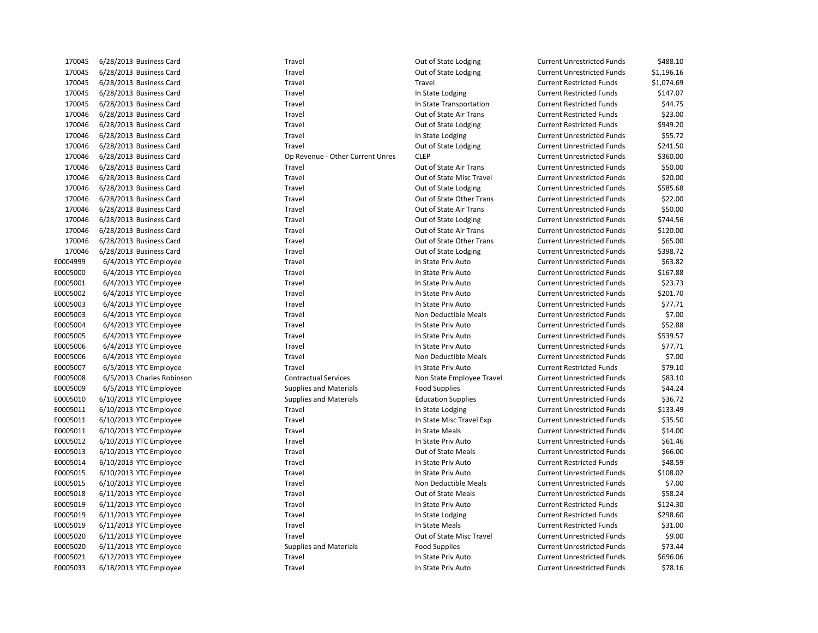| 170045   | 6/28/2013 Business Card   | Travel                           | Out of State Lodging      | <b>Current Unrestricted Funds</b> | \$488.10   |
|----------|---------------------------|----------------------------------|---------------------------|-----------------------------------|------------|
| 170045   | 6/28/2013 Business Card   | Travel                           | Out of State Lodging      | <b>Current Unrestricted Funds</b> | \$1,196.16 |
| 170045   | 6/28/2013 Business Card   | Travel                           | Travel                    | <b>Current Restricted Funds</b>   | \$1,074.69 |
| 170045   | 6/28/2013 Business Card   | Travel                           | In State Lodging          | <b>Current Restricted Funds</b>   | \$147.07   |
| 170045   | 6/28/2013 Business Card   | Travel                           | In State Transportation   | <b>Current Restricted Funds</b>   | \$44.75    |
| 170046   | 6/28/2013 Business Card   | Travel                           | Out of State Air Trans    | <b>Current Restricted Funds</b>   | \$23.00    |
| 170046   | 6/28/2013 Business Card   | Travel                           | Out of State Lodging      | <b>Current Restricted Funds</b>   | \$949.20   |
| 170046   | 6/28/2013 Business Card   | Travel                           | In State Lodging          | <b>Current Unrestricted Funds</b> | \$55.72    |
| 170046   | 6/28/2013 Business Card   | Travel                           | Out of State Lodging      | <b>Current Unrestricted Funds</b> | \$241.50   |
| 170046   | 6/28/2013 Business Card   | Op Revenue - Other Current Unres | <b>CLEP</b>               | <b>Current Unrestricted Funds</b> | \$360.00   |
| 170046   | 6/28/2013 Business Card   | Travel                           | Out of State Air Trans    | <b>Current Unrestricted Funds</b> | \$50.00    |
| 170046   | 6/28/2013 Business Card   | Travel                           | Out of State Misc Travel  | <b>Current Unrestricted Funds</b> | \$20.00    |
| 170046   | 6/28/2013 Business Card   | Travel                           | Out of State Lodging      | <b>Current Unrestricted Funds</b> | \$585.68   |
| 170046   | 6/28/2013 Business Card   | Travel                           | Out of State Other Trans  | <b>Current Unrestricted Funds</b> | \$22.00    |
| 170046   | 6/28/2013 Business Card   | Travel                           | Out of State Air Trans    | <b>Current Unrestricted Funds</b> | \$50.00    |
| 170046   | 6/28/2013 Business Card   | Travel                           | Out of State Lodging      | <b>Current Unrestricted Funds</b> | \$744.56   |
| 170046   | 6/28/2013 Business Card   | Travel                           | Out of State Air Trans    | <b>Current Unrestricted Funds</b> | \$120.00   |
| 170046   | 6/28/2013 Business Card   | Travel                           | Out of State Other Trans  | <b>Current Unrestricted Funds</b> | \$65.00    |
| 170046   | 6/28/2013 Business Card   | Travel                           | Out of State Lodging      | <b>Current Unrestricted Funds</b> | \$398.72   |
| E0004999 | 6/4/2013 YTC Employee     | Travel                           | In State Priv Auto        | <b>Current Unrestricted Funds</b> | \$63.82    |
| E0005000 | 6/4/2013 YTC Employee     | Travel                           | In State Priv Auto        | <b>Current Unrestricted Funds</b> | \$167.88   |
| E0005001 | 6/4/2013 YTC Employee     | Travel                           | In State Priv Auto        | <b>Current Unrestricted Funds</b> | \$23.73    |
| E0005002 | 6/4/2013 YTC Employee     | Travel                           | In State Priv Auto        | <b>Current Unrestricted Funds</b> | \$201.70   |
| E0005003 | 6/4/2013 YTC Employee     | Travel                           | In State Priv Auto        | <b>Current Unrestricted Funds</b> | \$77.71    |
| E0005003 | 6/4/2013 YTC Employee     | Travel                           | Non Deductible Meals      | <b>Current Unrestricted Funds</b> | \$7.00     |
| E0005004 | 6/4/2013 YTC Employee     | Travel                           | In State Priv Auto        | <b>Current Unrestricted Funds</b> | \$52.88    |
| E0005005 | 6/4/2013 YTC Employee     | Travel                           | In State Priv Auto        | <b>Current Unrestricted Funds</b> | \$539.57   |
| E0005006 | 6/4/2013 YTC Employee     | Travel                           | In State Priv Auto        | <b>Current Unrestricted Funds</b> | \$77.71    |
| E0005006 | 6/4/2013 YTC Employee     | Travel                           | Non Deductible Meals      | <b>Current Unrestricted Funds</b> | \$7.00     |
| E0005007 | 6/5/2013 YTC Employee     | Travel                           | In State Priv Auto        | <b>Current Restricted Funds</b>   | \$79.10    |
| E0005008 | 6/5/2013 Charles Robinson | <b>Contractual Services</b>      | Non State Employee Travel | <b>Current Unrestricted Funds</b> | \$83.10    |
| E0005009 | 6/5/2013 YTC Employee     | <b>Supplies and Materials</b>    | <b>Food Supplies</b>      | <b>Current Unrestricted Funds</b> | \$44.24    |
| E0005010 | 6/10/2013 YTC Employee    | <b>Supplies and Materials</b>    | <b>Education Supplies</b> | <b>Current Unrestricted Funds</b> | \$36.72    |
| E0005011 | 6/10/2013 YTC Employee    | Travel                           | In State Lodging          | <b>Current Unrestricted Funds</b> | \$133.49   |
| E0005011 | 6/10/2013 YTC Employee    | Travel                           | In State Misc Travel Exp  | <b>Current Unrestricted Funds</b> | \$35.50    |
| E0005011 | 6/10/2013 YTC Employee    | Travel                           | In State Meals            | <b>Current Unrestricted Funds</b> | \$14.00    |
| E0005012 | 6/10/2013 YTC Employee    | Travel                           | In State Priv Auto        | <b>Current Unrestricted Funds</b> | \$61.46    |
| E0005013 | 6/10/2013 YTC Employee    | Travel                           | Out of State Meals        | <b>Current Unrestricted Funds</b> | \$66.00    |
| E0005014 | 6/10/2013 YTC Employee    | Travel                           | In State Priv Auto        | <b>Current Restricted Funds</b>   | \$48.59    |
| E0005015 | 6/10/2013 YTC Employee    | Travel                           | In State Priv Auto        | <b>Current Unrestricted Funds</b> | \$108.02   |
| E0005015 | 6/10/2013 YTC Employee    | Travel                           | Non Deductible Meals      | <b>Current Unrestricted Funds</b> | \$7.00     |
| E0005018 | 6/11/2013 YTC Employee    | Travel                           | Out of State Meals        | <b>Current Unrestricted Funds</b> | \$58.24    |
| E0005019 | 6/11/2013 YTC Employee    | Travel                           | In State Priv Auto        | <b>Current Restricted Funds</b>   | \$124.30   |
| E0005019 | 6/11/2013 YTC Employee    | Travel                           | In State Lodging          | <b>Current Restricted Funds</b>   | \$298.60   |
| E0005019 | 6/11/2013 YTC Employee    | Travel                           | In State Meals            | <b>Current Restricted Funds</b>   | \$31.00    |
| E0005020 | 6/11/2013 YTC Employee    | Travel                           | Out of State Misc Travel  | <b>Current Unrestricted Funds</b> | \$9.00     |
| E0005020 | 6/11/2013 YTC Employee    | <b>Supplies and Materials</b>    | <b>Food Supplies</b>      | <b>Current Unrestricted Funds</b> | \$73.44    |
| E0005021 | 6/12/2013 YTC Employee    | Travel                           | In State Priv Auto        | <b>Current Unrestricted Funds</b> | \$696.06   |
| E0005033 | 6/18/2013 YTC Employee    | Travel                           | In State Priv Auto        | <b>Current Unrestricted Funds</b> | \$78.16    |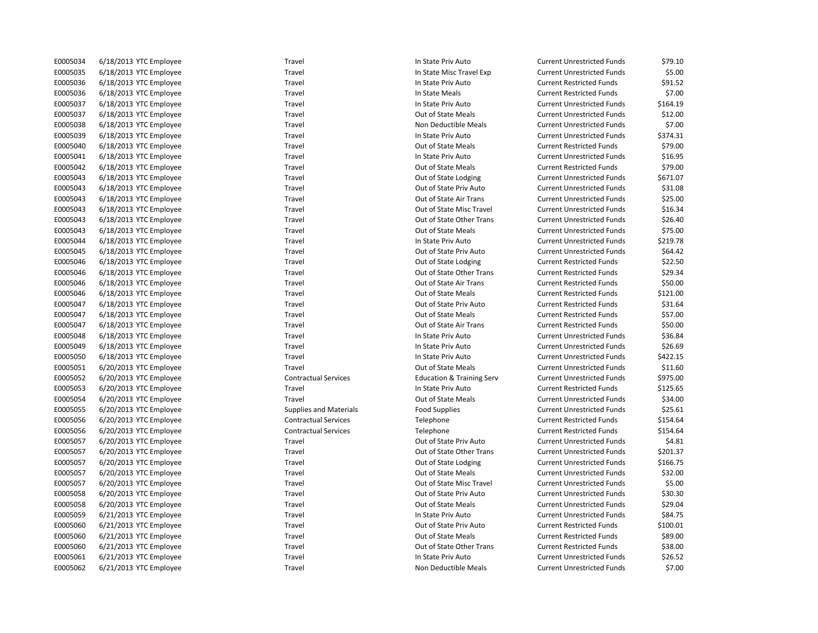| E0005034 | 6/18/2013 YTC Employee | Travel                        | In State Priv Auto                   | <b>Current Unrestricted Funds</b> | \$79.10  |
|----------|------------------------|-------------------------------|--------------------------------------|-----------------------------------|----------|
| E0005035 | 6/18/2013 YTC Employee | Travel                        | In State Misc Travel Exp             | <b>Current Unrestricted Funds</b> | \$5.00   |
| E0005036 | 6/18/2013 YTC Employee | Travel                        | In State Priv Auto                   | <b>Current Restricted Funds</b>   | \$91.52  |
| E0005036 | 6/18/2013 YTC Employee | Travel                        | In State Meals                       | <b>Current Restricted Funds</b>   | \$7.00   |
| E0005037 | 6/18/2013 YTC Employee | Travel                        | In State Priv Auto                   | <b>Current Unrestricted Funds</b> | \$164.19 |
| E0005037 | 6/18/2013 YTC Employee | Travel                        | Out of State Meals                   | <b>Current Unrestricted Funds</b> | \$12.00  |
| E0005038 | 6/18/2013 YTC Employee | Travel                        | Non Deductible Meals                 | <b>Current Unrestricted Funds</b> | \$7.00   |
| E0005039 | 6/18/2013 YTC Employee | Travel                        | In State Priv Auto                   | <b>Current Unrestricted Funds</b> | \$374.31 |
| E0005040 | 6/18/2013 YTC Employee | Travel                        | Out of State Meals                   | <b>Current Restricted Funds</b>   | \$79.00  |
| E0005041 | 6/18/2013 YTC Employee | Travel                        | In State Priv Auto                   | <b>Current Unrestricted Funds</b> | \$16.95  |
| E0005042 | 6/18/2013 YTC Employee | Travel                        | Out of State Meals                   | <b>Current Restricted Funds</b>   | \$79.00  |
| E0005043 | 6/18/2013 YTC Employee | Travel                        | Out of State Lodging                 | <b>Current Unrestricted Funds</b> | \$671.07 |
| E0005043 | 6/18/2013 YTC Employee | Travel                        | Out of State Priv Auto               | <b>Current Unrestricted Funds</b> | \$31.08  |
| E0005043 | 6/18/2013 YTC Employee | Travel                        | Out of State Air Trans               | <b>Current Unrestricted Funds</b> | \$25.00  |
| E0005043 | 6/18/2013 YTC Employee | Travel                        | Out of State Misc Travel             | <b>Current Unrestricted Funds</b> | \$16.34  |
| E0005043 | 6/18/2013 YTC Employee | Travel                        | Out of State Other Trans             | <b>Current Unrestricted Funds</b> | \$26.40  |
| E0005043 | 6/18/2013 YTC Employee | Travel                        | Out of State Meals                   | <b>Current Unrestricted Funds</b> | \$75.00  |
| E0005044 | 6/18/2013 YTC Employee | Travel                        | In State Priv Auto                   | <b>Current Unrestricted Funds</b> | \$219.78 |
| E0005045 | 6/18/2013 YTC Employee | Travel                        | Out of State Priv Auto               | <b>Current Unrestricted Funds</b> | \$64.42  |
| E0005046 | 6/18/2013 YTC Employee | Travel                        | Out of State Lodging                 | <b>Current Restricted Funds</b>   | \$22.50  |
| E0005046 | 6/18/2013 YTC Employee | Travel                        | Out of State Other Trans             | <b>Current Restricted Funds</b>   | \$29.34  |
| E0005046 | 6/18/2013 YTC Employee | Travel                        | Out of State Air Trans               | <b>Current Restricted Funds</b>   | \$50.00  |
| E0005046 | 6/18/2013 YTC Employee | Travel                        | Out of State Meals                   | <b>Current Restricted Funds</b>   | \$121.00 |
| E0005047 | 6/18/2013 YTC Employee | Travel                        | Out of State Priv Auto               | <b>Current Restricted Funds</b>   | \$31.64  |
| E0005047 | 6/18/2013 YTC Employee | Travel                        | Out of State Meals                   | <b>Current Restricted Funds</b>   | \$57.00  |
| E0005047 | 6/18/2013 YTC Employee | Travel                        | Out of State Air Trans               | <b>Current Restricted Funds</b>   | \$50.00  |
| E0005048 | 6/18/2013 YTC Employee | Travel                        | In State Priv Auto                   | <b>Current Unrestricted Funds</b> | \$36.84  |
| E0005049 | 6/18/2013 YTC Employee | Travel                        | In State Priv Auto                   | <b>Current Unrestricted Funds</b> | \$26.69  |
| E0005050 | 6/18/2013 YTC Employee | Travel                        | In State Priv Auto                   | <b>Current Unrestricted Funds</b> | \$422.15 |
| E0005051 | 6/20/2013 YTC Employee | Travel                        | Out of State Meals                   | <b>Current Unrestricted Funds</b> | \$11.60  |
| E0005052 | 6/20/2013 YTC Employee | <b>Contractual Services</b>   | <b>Education &amp; Training Serv</b> | <b>Current Unrestricted Funds</b> | \$975.00 |
| E0005053 | 6/20/2013 YTC Employee | Travel                        | In State Priv Auto                   | <b>Current Restricted Funds</b>   | \$125.65 |
| E0005054 | 6/20/2013 YTC Employee | Travel                        | Out of State Meals                   | <b>Current Unrestricted Funds</b> | \$34.00  |
| E0005055 | 6/20/2013 YTC Employee | <b>Supplies and Materials</b> | <b>Food Supplies</b>                 | <b>Current Unrestricted Funds</b> | \$25.61  |
| E0005056 | 6/20/2013 YTC Employee | <b>Contractual Services</b>   | Telephone                            | <b>Current Restricted Funds</b>   | \$154.64 |
| E0005056 | 6/20/2013 YTC Employee | <b>Contractual Services</b>   | Telephone                            | <b>Current Restricted Funds</b>   | \$154.64 |
| E0005057 | 6/20/2013 YTC Employee | Travel                        | Out of State Priv Auto               | <b>Current Unrestricted Funds</b> | \$4.81   |
| E0005057 | 6/20/2013 YTC Employee | Travel                        | Out of State Other Trans             | <b>Current Unrestricted Funds</b> | \$201.37 |
| E0005057 | 6/20/2013 YTC Employee | Travel                        | Out of State Lodging                 | <b>Current Unrestricted Funds</b> | \$166.75 |
| E0005057 | 6/20/2013 YTC Employee | Travel                        | Out of State Meals                   | <b>Current Unrestricted Funds</b> | \$32.00  |
| E0005057 | 6/20/2013 YTC Employee | Travel                        | Out of State Misc Travel             | <b>Current Unrestricted Funds</b> | \$5.00   |
| E0005058 | 6/20/2013 YTC Employee | Travel                        | Out of State Priv Auto               | <b>Current Unrestricted Funds</b> | \$30.30  |
| E0005058 | 6/20/2013 YTC Employee | Travel                        | Out of State Meals                   | <b>Current Unrestricted Funds</b> | \$29.04  |
| E0005059 | 6/21/2013 YTC Employee | Travel                        | In State Priv Auto                   | <b>Current Unrestricted Funds</b> | \$84.75  |
| E0005060 | 6/21/2013 YTC Employee | Travel                        | Out of State Priv Auto               | <b>Current Restricted Funds</b>   | \$100.01 |
| E0005060 | 6/21/2013 YTC Employee | Travel                        | Out of State Meals                   | <b>Current Restricted Funds</b>   | \$89.00  |
| E0005060 | 6/21/2013 YTC Employee | Travel                        | Out of State Other Trans             | <b>Current Restricted Funds</b>   | \$38.00  |
| E0005061 | 6/21/2013 YTC Employee | Travel                        | In State Priv Auto                   | <b>Current Unrestricted Funds</b> | \$26.52  |
| E0005062 | 6/21/2013 YTC Employee | Travel                        | Non Deductible Meals                 | <b>Current Unrestricted Funds</b> | \$7.00   |